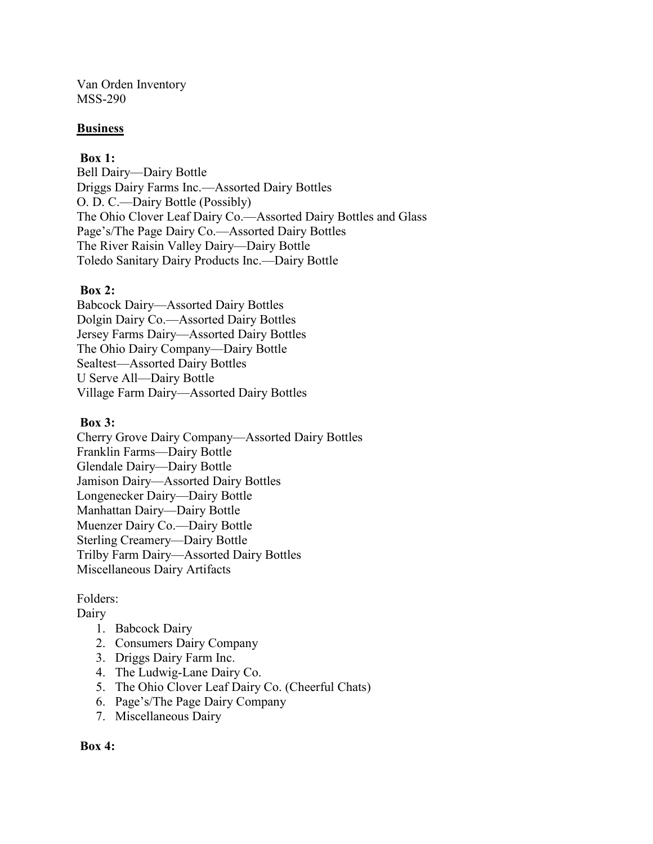Van Orden Inventory MSS-290

### **Business**

#### **Box 1:**

Bell Dairy—Dairy Bottle Driggs Dairy Farms Inc.—Assorted Dairy Bottles O. D. C.—Dairy Bottle (Possibly) The Ohio Clover Leaf Dairy Co.—Assorted Dairy Bottles and Glass Page's/The Page Dairy Co.—Assorted Dairy Bottles The River Raisin Valley Dairy—Dairy Bottle Toledo Sanitary Dairy Products Inc.—Dairy Bottle

#### **Box 2:**

Babcock Dairy—Assorted Dairy Bottles Dolgin Dairy Co.—Assorted Dairy Bottles Jersey Farms Dairy—Assorted Dairy Bottles The Ohio Dairy Company—Dairy Bottle Sealtest—Assorted Dairy Bottles U Serve All—Dairy Bottle Village Farm Dairy—Assorted Dairy Bottles

#### **Box 3:**

Cherry Grove Dairy Company—Assorted Dairy Bottles Franklin Farms—Dairy Bottle Glendale Dairy—Dairy Bottle Jamison Dairy—Assorted Dairy Bottles Longenecker Dairy—Dairy Bottle Manhattan Dairy—Dairy Bottle Muenzer Dairy Co.—Dairy Bottle Sterling Creamery—Dairy Bottle Trilby Farm Dairy—Assorted Dairy Bottles Miscellaneous Dairy Artifacts

### Folders:

Dairy

- 1. Babcock Dairy
- 2. Consumers Dairy Company
- 3. Driggs Dairy Farm Inc.
- 4. The Ludwig-Lane Dairy Co.
- 5. The Ohio Clover Leaf Dairy Co. (Cheerful Chats)
- 6. Page's/The Page Dairy Company
- 7. Miscellaneous Dairy

### **Box 4:**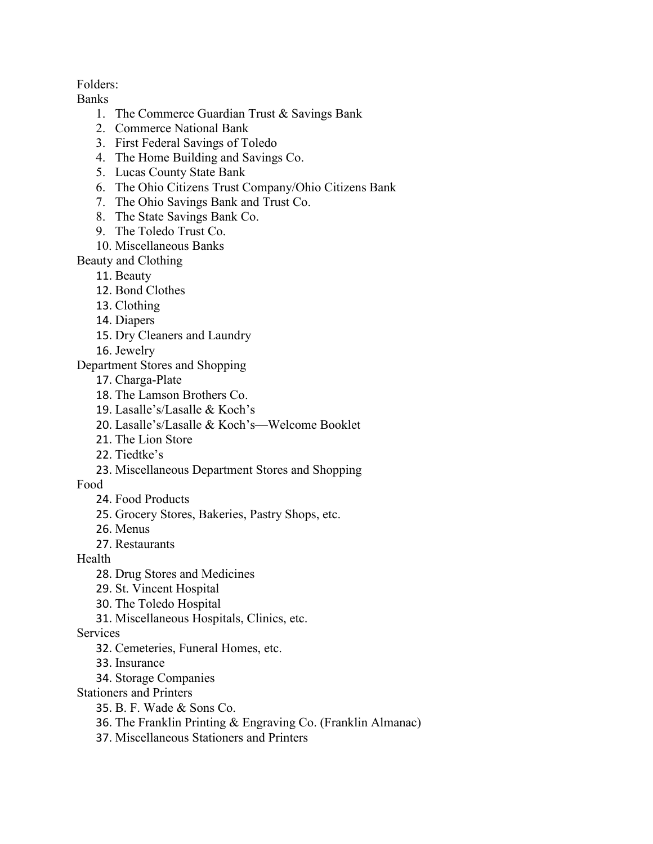### Folders:

**Banks** 

- 1. The Commerce Guardian Trust & Savings Bank
- 2. Commerce National Bank
- 3. First Federal Savings of Toledo
- 4. The Home Building and Savings Co.
- 5. Lucas County State Bank
- 6. The Ohio Citizens Trust Company/Ohio Citizens Bank
- 7. The Ohio Savings Bank and Trust Co.
- 8. The State Savings Bank Co.
- 9. The Toledo Trust Co.
- 10. Miscellaneous Banks
- Beauty and Clothing
	- 11. Beauty
	- 12. Bond Clothes
	- 13. Clothing
	- 14. Diapers
	- 15. Dry Cleaners and Laundry
	- 16. Jewelry

Department Stores and Shopping

- 17. Charga-Plate
- 18. The Lamson Brothers Co.
- 19. Lasalle's/Lasalle & Koch's
- 20. Lasalle's/Lasalle & Koch's—Welcome Booklet
- 21. The Lion Store
- 22. Tiedtke's
- 23. Miscellaneous Department Stores and Shopping
- Food
	- 24. Food Products
	- 25. Grocery Stores, Bakeries, Pastry Shops, etc.
	- 26. Menus
	- 27. Restaurants

Health

- 28. Drug Stores and Medicines
- 29. St. Vincent Hospital
- 30. The Toledo Hospital
- 31. Miscellaneous Hospitals, Clinics, etc.
- Services
	- 32. Cemeteries, Funeral Homes, etc.
	- 33. Insurance
	- 34. Storage Companies
- Stationers and Printers
	- 35. B. F. Wade & Sons Co.
	- 36. The Franklin Printing & Engraving Co. (Franklin Almanac)
	- 37. Miscellaneous Stationers and Printers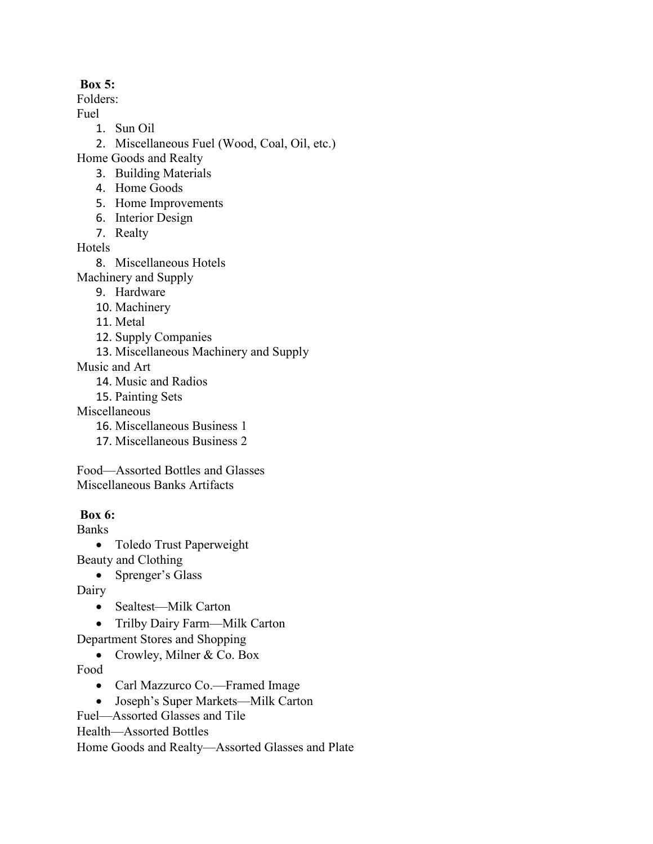#### **Box 5:**

Folders:

Fuel

- 1. Sun Oil
- 2. Miscellaneous Fuel (Wood, Coal, Oil, etc.)

Home Goods and Realty

- 3. Building Materials
- 4. Home Goods
- 5. Home Improvements
- 6. Interior Design
- 7. Realty

Hotels

8. Miscellaneous Hotels

- Machinery and Supply
	- 9. Hardware
	- 10. Machinery
	- 11. Metal
	- 12. Supply Companies
	- 13. Miscellaneous Machinery and Supply

Music and Art

- 14. Music and Radios
- 15. Painting Sets

Miscellaneous

- 16. Miscellaneous Business 1
- 17. Miscellaneous Business 2

Food—Assorted Bottles and Glasses Miscellaneous Banks Artifacts

## **Box 6:**

Banks

• Toledo Trust Paperweight Beauty and Clothing

• Sprenger's Glass

Dairy

- Sealtest—Milk Carton
- Trilby Dairy Farm—Milk Carton

Department Stores and Shopping

• Crowley, Milner & Co. Box

Food

- Carl Mazzurco Co.—Framed Image
- Joseph's Super Markets—Milk Carton

Fuel—Assorted Glasses and Tile

Health—Assorted Bottles

Home Goods and Realty—Assorted Glasses and Plate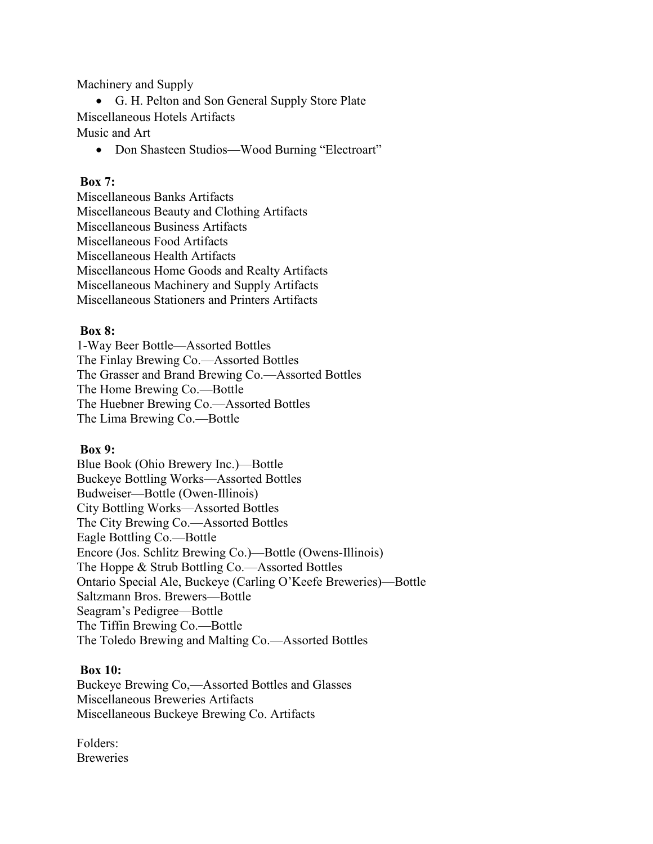Machinery and Supply

• G. H. Pelton and Son General Supply Store Plate Miscellaneous Hotels Artifacts Music and Art

• Don Shasteen Studios—Wood Burning "Electroart"

#### **Box 7:**

Miscellaneous Banks Artifacts Miscellaneous Beauty and Clothing Artifacts Miscellaneous Business Artifacts Miscellaneous Food Artifacts Miscellaneous Health Artifacts Miscellaneous Home Goods and Realty Artifacts Miscellaneous Machinery and Supply Artifacts Miscellaneous Stationers and Printers Artifacts

#### **Box 8:**

1-Way Beer Bottle—Assorted Bottles The Finlay Brewing Co.—Assorted Bottles The Grasser and Brand Brewing Co.—Assorted Bottles The Home Brewing Co.—Bottle The Huebner Brewing Co.—Assorted Bottles The Lima Brewing Co.—Bottle

#### **Box 9:**

Blue Book (Ohio Brewery Inc.)—Bottle Buckeye Bottling Works—Assorted Bottles Budweiser—Bottle (Owen-Illinois) City Bottling Works—Assorted Bottles The City Brewing Co.—Assorted Bottles Eagle Bottling Co.—Bottle Encore (Jos. Schlitz Brewing Co.)—Bottle (Owens-Illinois) The Hoppe & Strub Bottling Co.—Assorted Bottles Ontario Special Ale, Buckeye (Carling O'Keefe Breweries)—Bottle Saltzmann Bros. Brewers—Bottle Seagram's Pedigree—Bottle The Tiffin Brewing Co.—Bottle The Toledo Brewing and Malting Co.—Assorted Bottles

#### **Box 10:**

Buckeye Brewing Co,—Assorted Bottles and Glasses Miscellaneous Breweries Artifacts Miscellaneous Buckeye Brewing Co. Artifacts

Folders: **Breweries**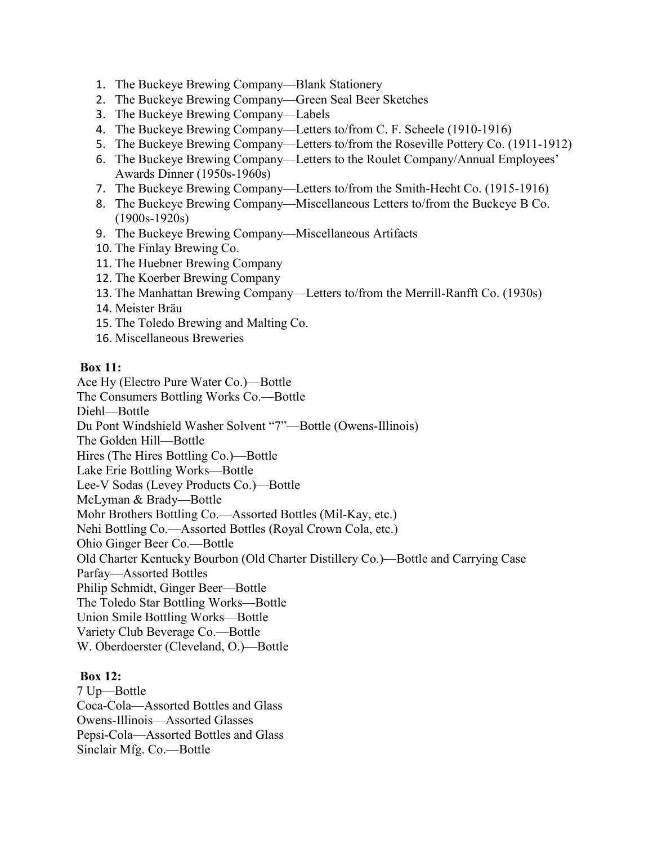- 1. The Buckeye Brewing Company—Blank Stationery
- 2. The Buckeye Brewing Company—Green Seal Beer Sketches
- 3. The Buckeye Brewing Company—Labels
- 4. The Buckeye Brewing Company—Letters to/from C. F. Scheele (1910-1916)
- 5. The Buckeye Brewing Company—Letters to/from the Roseville Pottery Co. (1911-1912)
- 6. The Buckeye Brewing Company—Letters to the Roulet Company/Annual Employees' Awards Dinner (1950s-1960s)
- 7. The Buckeye Brewing Company—Letters to/from the Smith-Hecht Co. (1915-1916)
- 8. The Buckeye Brewing Company—Miscellaneous Letters to/from the Buckeye B Co. (1900s-1920s)
- 9. The Buckeye Brewing Company—Miscellaneous Artifacts
- 10. The Finlay Brewing Co.
- 11. The Huebner Brewing Company
- 12. The Koerber Brewing Company
- 13. The Manhattan Brewing Company—Letters to/from the Merrill-Ranfft Co. (1930s)
- 14. Meister Bräu
- 15. The Toledo Brewing and Malting Co.
- 16. Miscellaneous Breweries

#### **Box 11:**

Ace Hy (Electro Pure Water Co.)—Bottle The Consumers Bottling Works Co.—Bottle Diehl—Bottle Du Pont Windshield Washer Solvent "7"—Bottle (Owens-Illinois) The Golden Hill—Bottle Hires (The Hires Bottling Co.)—Bottle Lake Erie Bottling Works—Bottle Lee-V Sodas (Levey Products Co.)—Bottle McLyman & Brady—Bottle Mohr Brothers Bottling Co.—Assorted Bottles (Mil-Kay, etc.) Nehi Bottling Co.—Assorted Bottles (Royal Crown Cola, etc.) Ohio Ginger Beer Co.—Bottle Old Charter Kentucky Bourbon (Old Charter Distillery Co.)—Bottle and Carrying Case Parfay—Assorted Bottles Philip Schmidt, Ginger Beer—Bottle The Toledo Star Bottling Works—Bottle Union Smile Bottling Works—Bottle Variety Club Beverage Co.—Bottle W. Oberdoerster (Cleveland, O.)—Bottle

### **Box 12:**

7 Up—Bottle Coca-Cola—Assorted Bottles and Glass Owens-Illinois—Assorted Glasses Pepsi-Cola—Assorted Bottles and Glass Sinclair Mfg. Co.—Bottle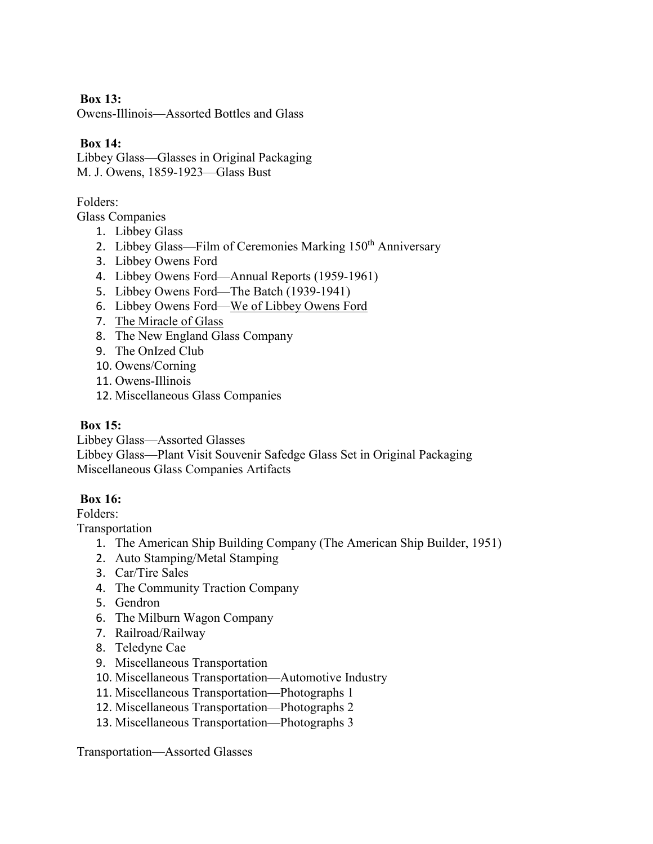### **Box 13:**

Owens-Illinois—Assorted Bottles and Glass

### **Box 14:**

Libbey Glass—Glasses in Original Packaging M. J. Owens, 1859-1923—Glass Bust

Folders:

Glass Companies

- 1. Libbey Glass
- 2. Libbey Glass—Film of Ceremonies Marking 150<sup>th</sup> Anniversary
- 3. Libbey Owens Ford
- 4. Libbey Owens Ford—Annual Reports (1959-1961)
- 5. Libbey Owens Ford—The Batch (1939-1941)
- 6. Libbey Owens Ford—We of Libbey Owens Ford
- 7. The Miracle of Glass
- 8. The New England Glass Company
- 9. The OnIzed Club
- 10. Owens/Corning
- 11. Owens-Illinois
- 12. Miscellaneous Glass Companies

### **Box 15:**

Libbey Glass—Assorted Glasses

Libbey Glass—Plant Visit Souvenir Safedge Glass Set in Original Packaging Miscellaneous Glass Companies Artifacts

## **Box 16:**

Folders:

Transportation

- 1. The American Ship Building Company (The American Ship Builder, 1951)
- 2. Auto Stamping/Metal Stamping
- 3. Car/Tire Sales
- 4. The Community Traction Company
- 5. Gendron
- 6. The Milburn Wagon Company
- 7. Railroad/Railway
- 8. Teledyne Cae
- 9. Miscellaneous Transportation
- 10. Miscellaneous Transportation—Automotive Industry
- 11. Miscellaneous Transportation—Photographs 1
- 12. Miscellaneous Transportation—Photographs 2
- 13. Miscellaneous Transportation—Photographs 3

Transportation—Assorted Glasses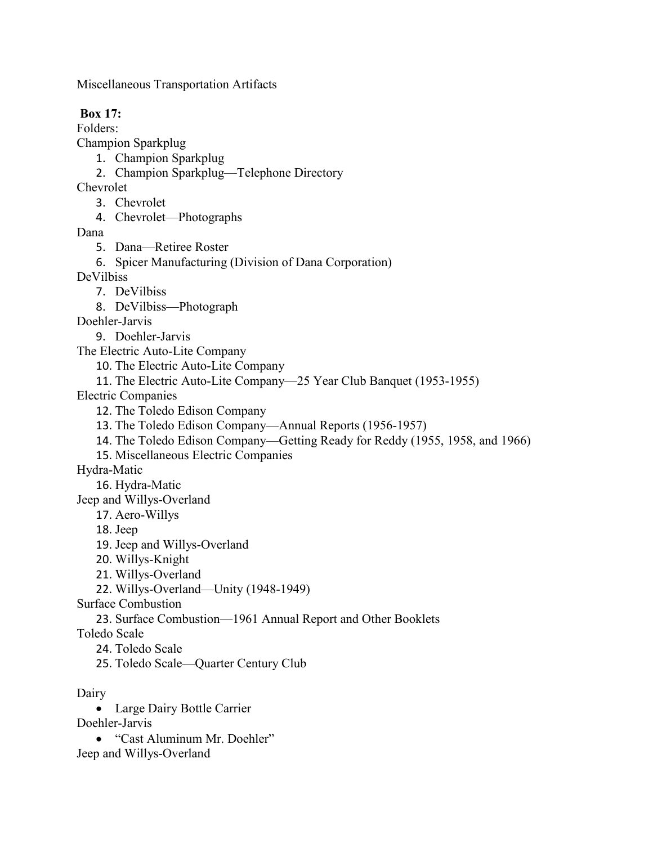Miscellaneous Transportation Artifacts

### **Box 17:**

Folders:

Champion Sparkplug

- 1. Champion Sparkplug
- 2. Champion Sparkplug—Telephone Directory

Chevrolet

- 3. Chevrolet
- 4. Chevrolet—Photographs

Dana

- 5. Dana—Retiree Roster
- 6. Spicer Manufacturing (Division of Dana Corporation)

DeVilbiss

- 7. DeVilbiss
- 8. DeVilbiss—Photograph

Doehler-Jarvis

9. Doehler-Jarvis

The Electric Auto-Lite Company

10. The Electric Auto-Lite Company

11. The Electric Auto-Lite Company—25 Year Club Banquet (1953-1955)

Electric Companies

- 12. The Toledo Edison Company
- 13. The Toledo Edison Company—Annual Reports (1956-1957)
- 14. The Toledo Edison Company—Getting Ready for Reddy (1955, 1958, and 1966)
- 15. Miscellaneous Electric Companies

Hydra-Matic

16. Hydra-Matic

Jeep and Willys-Overland

17. Aero-Willys

- 18. Jeep
- 19. Jeep and Willys-Overland
- 20. Willys-Knight
- 21. Willys-Overland
- 22. Willys-Overland—Unity (1948-1949)

Surface Combustion

23. Surface Combustion—1961 Annual Report and Other Booklets

Toledo Scale

24. Toledo Scale

25. Toledo Scale—Quarter Century Club

Dairy

• Large Dairy Bottle Carrier Doehler-Jarvis

• "Cast Aluminum Mr. Doehler" Jeep and Willys-Overland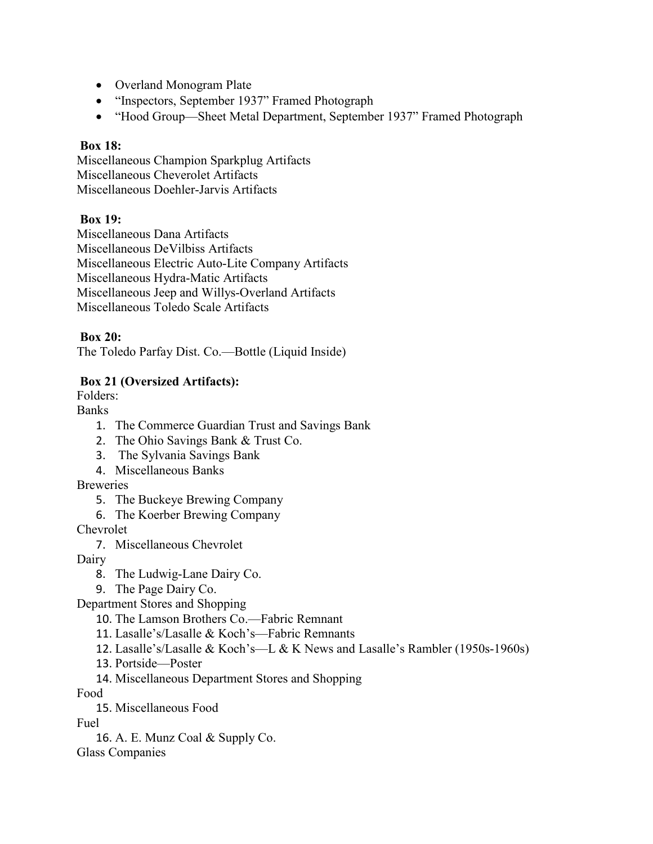- Overland Monogram Plate
- "Inspectors, September 1937" Framed Photograph
- "Hood Group—Sheet Metal Department, September 1937" Framed Photograph

#### **Box 18:**

Miscellaneous Champion Sparkplug Artifacts Miscellaneous Cheverolet Artifacts Miscellaneous Doehler-Jarvis Artifacts

### **Box 19:**

Miscellaneous Dana Artifacts Miscellaneous DeVilbiss Artifacts Miscellaneous Electric Auto-Lite Company Artifacts Miscellaneous Hydra-Matic Artifacts Miscellaneous Jeep and Willys-Overland Artifacts Miscellaneous Toledo Scale Artifacts

### **Box 20:**

The Toledo Parfay Dist. Co.—Bottle (Liquid Inside)

### **Box 21 (Oversized Artifacts):**

Folders:

Banks

- 1. The Commerce Guardian Trust and Savings Bank
- 2. The Ohio Savings Bank & Trust Co.
- 3. The Sylvania Savings Bank
- 4. Miscellaneous Banks

**Breweries** 

- 5. The Buckeye Brewing Company
- 6. The Koerber Brewing Company

Chevrolet

7. Miscellaneous Chevrolet

Dairy

- 8. The Ludwig-Lane Dairy Co.
- 9. The Page Dairy Co.

Department Stores and Shopping

- 10. The Lamson Brothers Co.—Fabric Remnant
- 11. Lasalle's/Lasalle & Koch's—Fabric Remnants
- 12. Lasalle's/Lasalle & Koch's—L & K News and Lasalle's Rambler (1950s-1960s)
- 13. Portside—Poster
- 14. Miscellaneous Department Stores and Shopping

Food

15. Miscellaneous Food

Fuel

16. A. E. Munz Coal & Supply Co. Glass Companies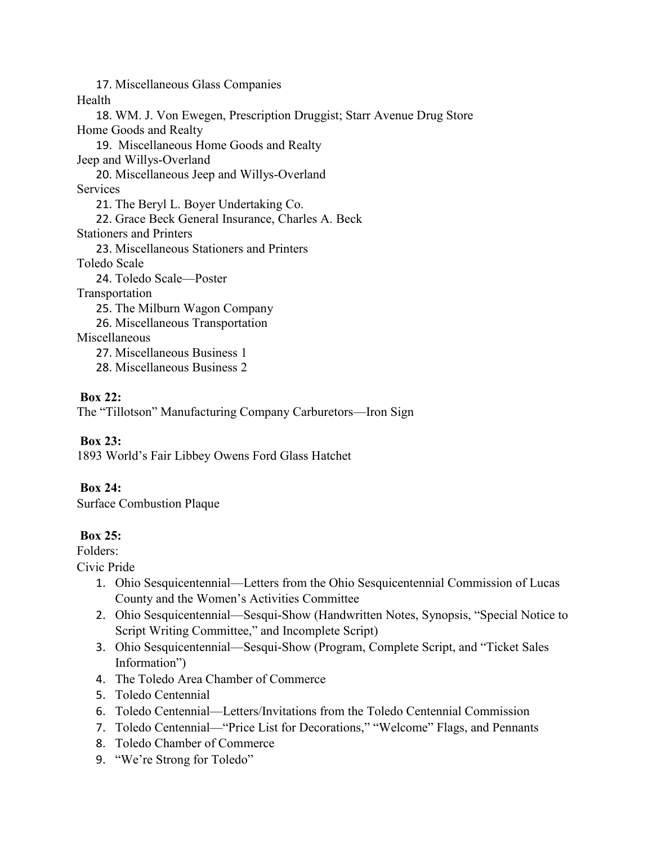17. Miscellaneous Glass Companies Health 18. WM. J. Von Ewegen, Prescription Druggist; Starr Avenue Drug Store Home Goods and Realty 19. Miscellaneous Home Goods and Realty Jeep and Willys-Overland 20. Miscellaneous Jeep and Willys-Overland Services 21. The Beryl L. Boyer Undertaking Co. 22. Grace Beck General Insurance, Charles A. Beck Stationers and Printers 23. Miscellaneous Stationers and Printers Toledo Scale 24. Toledo Scale—Poster Transportation 25. The Milburn Wagon Company 26. Miscellaneous Transportation Miscellaneous 27. Miscellaneous Business 1 28. Miscellaneous Business 2

#### **Box 22:**

The "Tillotson" Manufacturing Company Carburetors—Iron Sign

### **Box 23:**

1893 World's Fair Libbey Owens Ford Glass Hatchet

#### **Box 24:**

Surface Combustion Plaque

### **Box 25:**

Folders:

Civic Pride

- 1. Ohio Sesquicentennial—Letters from the Ohio Sesquicentennial Commission of Lucas County and the Women's Activities Committee
- 2. Ohio Sesquicentennial—Sesqui-Show (Handwritten Notes, Synopsis, "Special Notice to Script Writing Committee," and Incomplete Script)
- 3. Ohio Sesquicentennial—Sesqui-Show (Program, Complete Script, and "Ticket Sales Information")
- 4. The Toledo Area Chamber of Commerce
- 5. Toledo Centennial
- 6. Toledo Centennial—Letters/Invitations from the Toledo Centennial Commission
- 7. Toledo Centennial—"Price List for Decorations," "Welcome" Flags, and Pennants
- 8. Toledo Chamber of Commerce
- 9. "We're Strong for Toledo"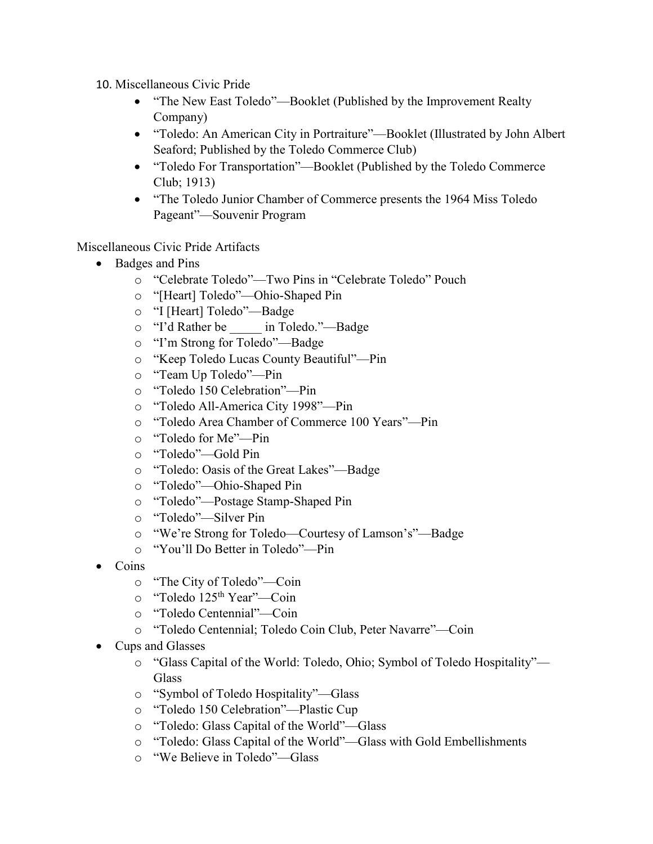- 10. Miscellaneous Civic Pride
	- "The New East Toledo"—Booklet (Published by the Improvement Realty Company)
	- "Toledo: An American City in Portraiture"—Booklet (Illustrated by John Albert Seaford; Published by the Toledo Commerce Club)
	- "Toledo For Transportation"—Booklet (Published by the Toledo Commerce Club; 1913)
	- "The Toledo Junior Chamber of Commerce presents the 1964 Miss Toledo" Pageant"—Souvenir Program

Miscellaneous Civic Pride Artifacts

- Badges and Pins
	- o "Celebrate Toledo"—Two Pins in "Celebrate Toledo" Pouch
	- o "[Heart] Toledo"—Ohio-Shaped Pin
	- o "I [Heart] Toledo"—Badge
	- o "I'd Rather be \_\_\_\_\_ in Toledo."—Badge
	- o "I'm Strong for Toledo"—Badge
	- o "Keep Toledo Lucas County Beautiful"—Pin
	- o "Team Up Toledo"—Pin
	- o "Toledo 150 Celebration"—Pin
	- o "Toledo All-America City 1998"—Pin
	- o "Toledo Area Chamber of Commerce 100 Years"—Pin
	- o "Toledo for Me"—Pin
	- o "Toledo"—Gold Pin
	- o "Toledo: Oasis of the Great Lakes"—Badge
	- o "Toledo"—Ohio-Shaped Pin
	- o "Toledo"—Postage Stamp-Shaped Pin
	- o "Toledo"—Silver Pin
	- o "We're Strong for Toledo—Courtesy of Lamson's"—Badge
	- o "You'll Do Better in Toledo"—Pin
- Coins
	- o "The City of Toledo"—Coin
	- o "Toledo 125th Year"—Coin
	- o "Toledo Centennial"—Coin
	- o "Toledo Centennial; Toledo Coin Club, Peter Navarre"—Coin
- Cups and Glasses
	- o "Glass Capital of the World: Toledo, Ohio; Symbol of Toledo Hospitality"— Glass
	- o "Symbol of Toledo Hospitality"—Glass
	- o "Toledo 150 Celebration"—Plastic Cup
	- o "Toledo: Glass Capital of the World"—Glass
	- o "Toledo: Glass Capital of the World"—Glass with Gold Embellishments
	- o "We Believe in Toledo"—Glass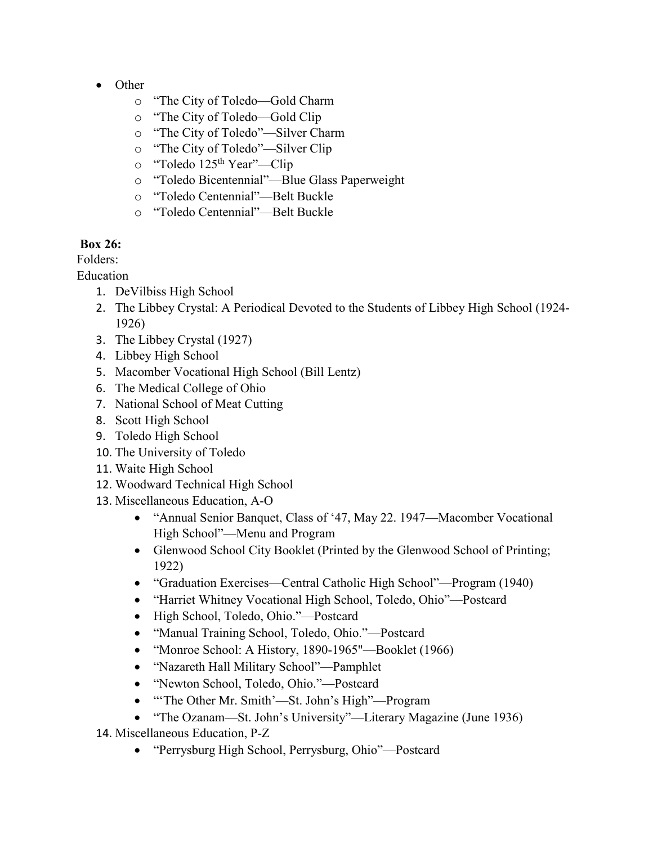- Other
	- o "The City of Toledo—Gold Charm
	- o "The City of Toledo—Gold Clip
	- o "The City of Toledo"—Silver Charm
	- o "The City of Toledo"—Silver Clip
	- $\circ$  "Toledo 125<sup>th</sup> Year"—Clip
	- o "Toledo Bicentennial"—Blue Glass Paperweight
	- o "Toledo Centennial"—Belt Buckle
	- o "Toledo Centennial"—Belt Buckle

### **Box 26:**

Folders:

Education

- 1. DeVilbiss High School
- 2. The Libbey Crystal: A Periodical Devoted to the Students of Libbey High School (1924- 1926)
- 3. The Libbey Crystal (1927)
- 4. Libbey High School
- 5. Macomber Vocational High School (Bill Lentz)
- 6. The Medical College of Ohio
- 7. National School of Meat Cutting
- 8. Scott High School
- 9. Toledo High School
- 10. The University of Toledo
- 11. Waite High School
- 12. Woodward Technical High School
- 13. Miscellaneous Education, A-O
	- "Annual Senior Banquet, Class of '47, May 22. 1947—Macomber Vocational High School"—Menu and Program
	- Glenwood School City Booklet (Printed by the Glenwood School of Printing; 1922)
	- "Graduation Exercises—Central Catholic High School"—Program (1940)
	- "Harriet Whitney Vocational High School, Toledo, Ohio"—Postcard
	- High School, Toledo, Ohio."—Postcard
	- "Manual Training School, Toledo, Ohio."—Postcard
	- "Monroe School: A History, 1890-1965"—Booklet (1966)
	- "Nazareth Hall Military School"—Pamphlet
	- "Newton School, Toledo, Ohio."—Postcard
	- "The Other Mr. Smith'—St. John's High''—Program
	- "The Ozanam—St. John's University"—Literary Magazine (June 1936)
- 14. Miscellaneous Education, P-Z
	- "Perrysburg High School, Perrysburg, Ohio"—Postcard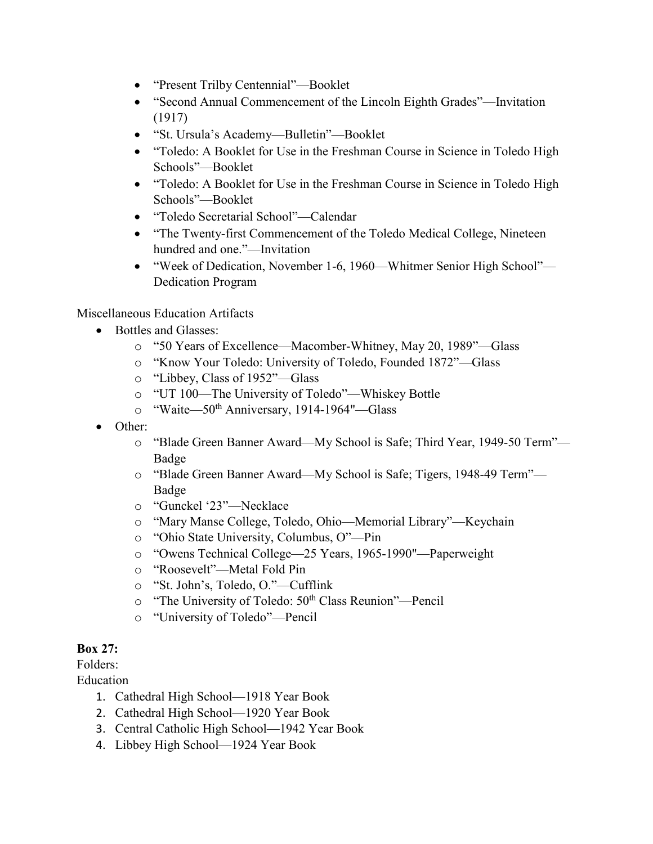- "Present Trilby Centennial"—Booklet
- "Second Annual Commencement of the Lincoln Eighth Grades"—Invitation (1917)
- "St. Ursula's Academy—Bulletin"—Booklet
- "Toledo: A Booklet for Use in the Freshman Course in Science in Toledo High Schools"—Booklet
- "Toledo: A Booklet for Use in the Freshman Course in Science in Toledo High Schools"—Booklet
- "Toledo Secretarial School"—Calendar
- "The Twenty-first Commencement of the Toledo Medical College, Nineteen hundred and one."—Invitation
- "Week of Dedication, November 1-6, 1960—Whitmer Senior High School"— Dedication Program

Miscellaneous Education Artifacts

- Bottles and Glasses:
	- o "50 Years of Excellence—Macomber-Whitney, May 20, 1989"—Glass
	- o "Know Your Toledo: University of Toledo, Founded 1872"—Glass
	- o "Libbey, Class of 1952"—Glass
	- o "UT 100—The University of Toledo"—Whiskey Bottle
	- $\circ$  "Waite—50<sup>th</sup> Anniversary, 1914-1964"—Glass
- Other:
	- o "Blade Green Banner Award—My School is Safe; Third Year, 1949-50 Term"— Badge
	- o "Blade Green Banner Award—My School is Safe; Tigers, 1948-49 Term"— Badge
	- o "Gunckel '23"—Necklace
	- o "Mary Manse College, Toledo, Ohio—Memorial Library"—Keychain
	- o "Ohio State University, Columbus, O"—Pin
	- o "Owens Technical College—25 Years, 1965-1990"—Paperweight
	- o "Roosevelt"—Metal Fold Pin
	- o "St. John's, Toledo, O."—Cufflink
	- $\circ$  "The University of Toledo: 50<sup>th</sup> Class Reunion"—Pencil
	- o "University of Toledo"—Pencil

## **Box 27:**

Folders:

Education

- 1. Cathedral High School—1918 Year Book
- 2. Cathedral High School—1920 Year Book
- 3. Central Catholic High School—1942 Year Book
- 4. Libbey High School—1924 Year Book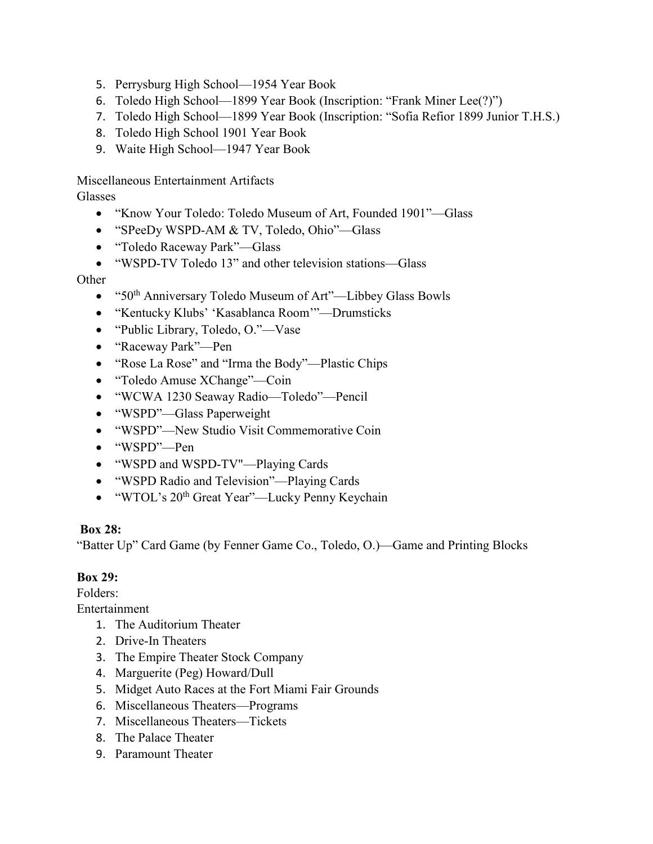- 5. Perrysburg High School—1954 Year Book
- 6. Toledo High School—1899 Year Book (Inscription: "Frank Miner Lee(?)")
- 7. Toledo High School—1899 Year Book (Inscription: "Sofia Refior 1899 Junior T.H.S.)
- 8. Toledo High School 1901 Year Book
- 9. Waite High School—1947 Year Book

Miscellaneous Entertainment Artifacts

Glasses

- "Know Your Toledo: Toledo Museum of Art, Founded 1901"—Glass
- "SPeeDy WSPD-AM & TV, Toledo, Ohio"—Glass
- "Toledo Raceway Park"—Glass
- "WSPD-TV Toledo 13" and other television stations—Glass

#### Other

- "50<sup>th</sup> Anniversary Toledo Museum of Art"—Libbey Glass Bowls
- "Kentucky Klubs' 'Kasablanca Room'"—Drumsticks
- "Public Library, Toledo, O."—Vase
- "Raceway Park"—Pen
- "Rose La Rose" and "Irma the Body"—Plastic Chips
- "Toledo Amuse XChange"—Coin
- "WCWA 1230 Seaway Radio—Toledo"—Pencil
- "WSPD"—Glass Paperweight
- "WSPD"—New Studio Visit Commemorative Coin
- "WSPD"—Pen
- "WSPD and WSPD-TV"—Playing Cards
- "WSPD Radio and Television"—Playing Cards
- "WTOL's 20<sup>th</sup> Great Year"—Lucky Penny Keychain

#### **Box 28:**

"Batter Up" Card Game (by Fenner Game Co., Toledo, O.)—Game and Printing Blocks

#### **Box 29:**

Folders:

Entertainment

- 1. The Auditorium Theater
- 2. Drive-In Theaters
- 3. The Empire Theater Stock Company
- 4. Marguerite (Peg) Howard/Dull
- 5. Midget Auto Races at the Fort Miami Fair Grounds
- 6. Miscellaneous Theaters—Programs
- 7. Miscellaneous Theaters—Tickets
- 8. The Palace Theater
- 9. Paramount Theater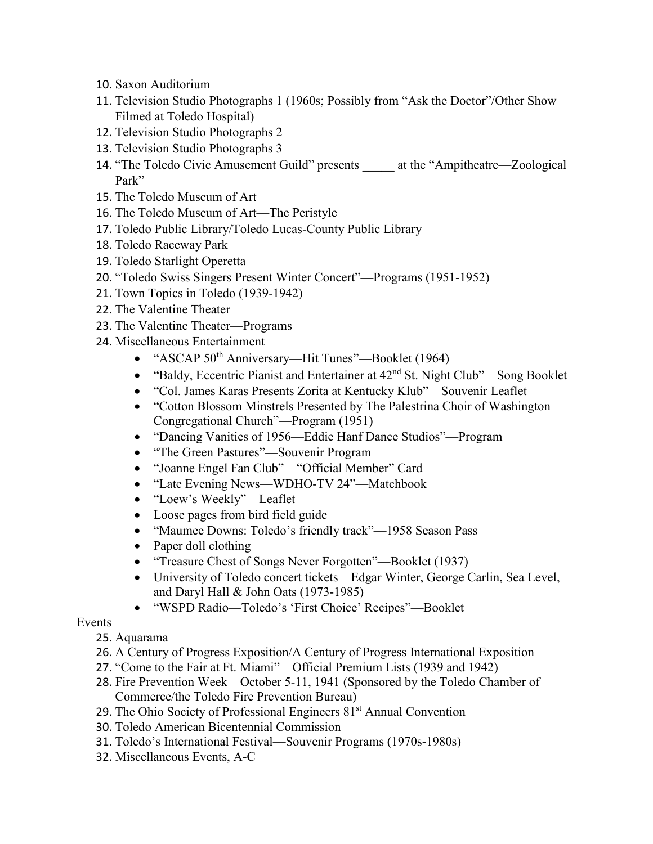- 10. Saxon Auditorium
- 11. Television Studio Photographs 1 (1960s; Possibly from "Ask the Doctor"/Other Show Filmed at Toledo Hospital)
- 12. Television Studio Photographs 2
- 13. Television Studio Photographs 3
- 14. "The Toledo Civic Amusement Guild" presents at the "Ampitheatre—Zoological Park"
- 15. The Toledo Museum of Art
- 16. The Toledo Museum of Art—The Peristyle
- 17. Toledo Public Library/Toledo Lucas-County Public Library
- 18. Toledo Raceway Park
- 19. Toledo Starlight Operetta
- 20. "Toledo Swiss Singers Present Winter Concert"—Programs (1951-1952)
- 21. Town Topics in Toledo (1939-1942)
- 22. The Valentine Theater
- 23. The Valentine Theater—Programs
- 24. Miscellaneous Entertainment
	- "ASCAP 50<sup>th</sup> Anniversary—Hit Tunes"—Booklet (1964)
	- "Baldy, Eccentric Pianist and Entertainer at 42<sup>nd</sup> St. Night Club"—Song Booklet
	- "Col. James Karas Presents Zorita at Kentucky Klub"—Souvenir Leaflet
	- "Cotton Blossom Minstrels Presented by The Palestrina Choir of Washington Congregational Church"—Program (1951)
	- "Dancing Vanities of 1956—Eddie Hanf Dance Studios"—Program
	- "The Green Pastures"—Souvenir Program
	- "Joanne Engel Fan Club"—"Official Member" Card
	- "Late Evening News—WDHO-TV 24"—Matchbook
	- "Loew's Weekly"—Leaflet
	- Loose pages from bird field guide
	- "Maumee Downs: Toledo's friendly track"—1958 Season Pass
	- Paper doll clothing
	- "Treasure Chest of Songs Never Forgotten"—Booklet (1937)
	- University of Toledo concert tickets—Edgar Winter, George Carlin, Sea Level, and Daryl Hall & John Oats (1973-1985)
	- "WSPD Radio—Toledo's 'First Choice' Recipes"—Booklet

Events

- 25. Aquarama
- 26. A Century of Progress Exposition/A Century of Progress International Exposition
- 27. "Come to the Fair at Ft. Miami"—Official Premium Lists (1939 and 1942)
- 28. Fire Prevention Week—October 5-11, 1941 (Sponsored by the Toledo Chamber of Commerce/the Toledo Fire Prevention Bureau)
- 29. The Ohio Society of Professional Engineers 81<sup>st</sup> Annual Convention
- 30. Toledo American Bicentennial Commission
- 31. Toledo's International Festival—Souvenir Programs (1970s-1980s)
- 32. Miscellaneous Events, A-C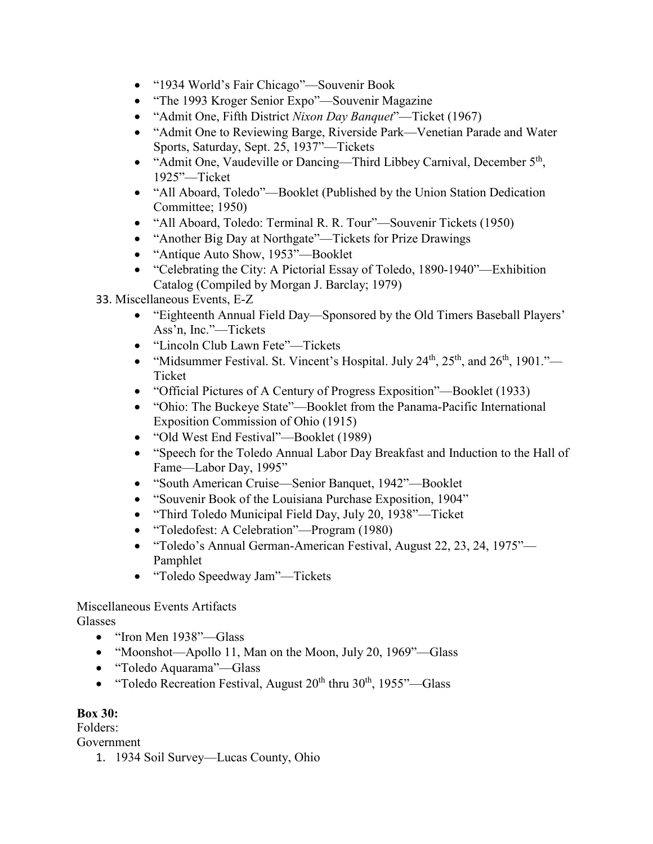- "1934 World's Fair Chicago"—Souvenir Book
- "The 1993 Kroger Senior Expo"—Souvenir Magazine
- "Admit One, Fifth District *Nixon Day Banquet*"—Ticket (1967)
- "Admit One to Reviewing Barge, Riverside Park—Venetian Parade and Water Sports, Saturday, Sept. 25, 1937"—Tickets
- "Admit One, Vaudeville or Dancing—Third Libbey Carnival, December 5<sup>th</sup>, 1925"—Ticket
- "All Aboard, Toledo"—Booklet (Published by the Union Station Dedication Committee; 1950)
- "All Aboard, Toledo: Terminal R. R. Tour"—Souvenir Tickets (1950)
- "Another Big Day at Northgate"—Tickets for Prize Drawings
- "Antique Auto Show, 1953"—Booklet
- "Celebrating the City: A Pictorial Essay of Toledo, 1890-1940"—Exhibition Catalog (Compiled by Morgan J. Barclay; 1979)
- 33. Miscellaneous Events, E-Z
	- "Eighteenth Annual Field Day—Sponsored by the Old Timers Baseball Players' Ass'n, Inc."—Tickets
	- "Lincoln Club Lawn Fete"—Tickets
	- "Midsummer Festival. St. Vincent's Hospital. July  $24<sup>th</sup>$ ,  $25<sup>th</sup>$ , and  $26<sup>th</sup>$ , 1901."— Ticket
	- "Official Pictures of A Century of Progress Exposition"—Booklet (1933)
	- "Ohio: The Buckeye State"—Booklet from the Panama-Pacific International Exposition Commission of Ohio (1915)
	- "Old West End Festival"—Booklet (1989)
	- "Speech for the Toledo Annual Labor Day Breakfast and Induction to the Hall of Fame—Labor Day, 1995"
	- "South American Cruise—Senior Banquet, 1942"—Booklet
	- "Souvenir Book of the Louisiana Purchase Exposition, 1904"
	- "Third Toledo Municipal Field Day, July 20, 1938"—Ticket
	- "Toledofest: A Celebration"—Program (1980)
	- "Toledo's Annual German-American Festival, August 22, 23, 24, 1975"— Pamphlet
	- "Toledo Speedway Jam"—Tickets

Miscellaneous Events Artifacts Glasses

- "Iron Men 1938"—Glass
- "Moonshot—Apollo 11, Man on the Moon, July 20, 1969"—Glass
- "Toledo Aquarama"—Glass
- "Toledo Recreation Festival, August  $20^{th}$  thru  $30^{th}$ , 1955"—Glass

### **Box 30:**

Folders: Government

1. 1934 Soil Survey—Lucas County, Ohio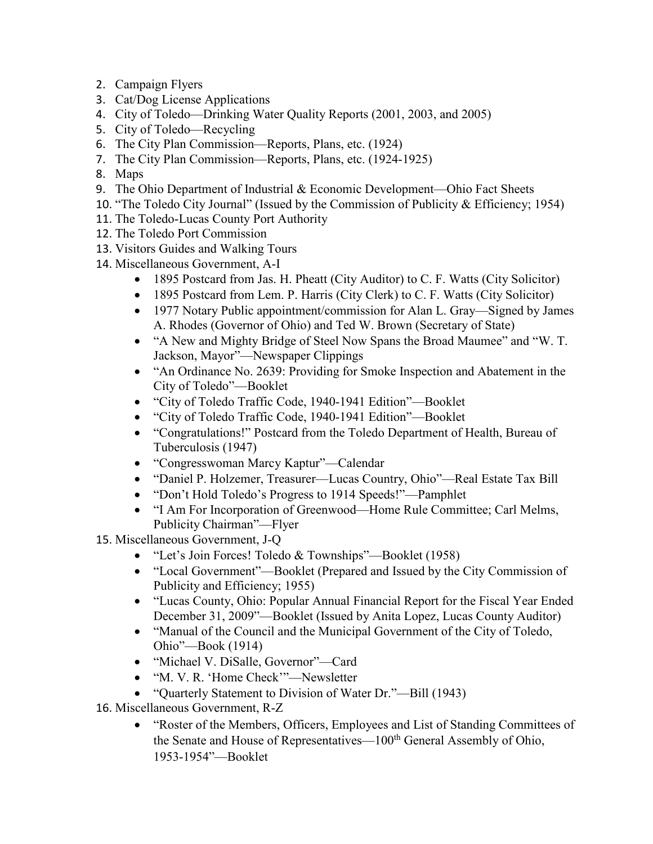- 2. Campaign Flyers
- 3. Cat/Dog License Applications
- 4. City of Toledo—Drinking Water Quality Reports (2001, 2003, and 2005)
- 5. City of Toledo—Recycling
- 6. The City Plan Commission—Reports, Plans, etc. (1924)
- 7. The City Plan Commission—Reports, Plans, etc. (1924-1925)
- 8. Maps
- 9. The Ohio Department of Industrial & Economic Development—Ohio Fact Sheets
- 10. "The Toledo City Journal" (Issued by the Commission of Publicity & Efficiency; 1954)
- 11. The Toledo-Lucas County Port Authority
- 12. The Toledo Port Commission
- 13. Visitors Guides and Walking Tours
- 14. Miscellaneous Government, A-I
	- 1895 Postcard from Jas. H. Pheatt (City Auditor) to C. F. Watts (City Solicitor)
	- 1895 Postcard from Lem. P. Harris (City Clerk) to C. F. Watts (City Solicitor)
	- 1977 Notary Public appointment/commission for Alan L. Gray—Signed by James A. Rhodes (Governor of Ohio) and Ted W. Brown (Secretary of State)
	- "A New and Mighty Bridge of Steel Now Spans the Broad Maumee" and "W. T. Jackson, Mayor"—Newspaper Clippings
	- "An Ordinance No. 2639: Providing for Smoke Inspection and Abatement in the City of Toledo"—Booklet
	- "City of Toledo Traffic Code, 1940-1941 Edition"—Booklet
	- "City of Toledo Traffic Code, 1940-1941 Edition"—Booklet
	- "Congratulations!" Postcard from the Toledo Department of Health, Bureau of Tuberculosis (1947)
	- "Congresswoman Marcy Kaptur"—Calendar
	- "Daniel P. Holzemer, Treasurer—Lucas Country, Ohio"—Real Estate Tax Bill
	- "Don't Hold Toledo's Progress to 1914 Speeds!"—Pamphlet
	- "I Am For Incorporation of Greenwood—Home Rule Committee; Carl Melms, Publicity Chairman"—Flyer
- 15. Miscellaneous Government, J-Q
	- "Let's Join Forces! Toledo & Townships"—Booklet (1958)
	- "Local Government"—Booklet (Prepared and Issued by the City Commission of Publicity and Efficiency; 1955)
	- "Lucas County, Ohio: Popular Annual Financial Report for the Fiscal Year Ended December 31, 2009"—Booklet (Issued by Anita Lopez, Lucas County Auditor)
	- "Manual of the Council and the Municipal Government of the City of Toledo, Ohio"—Book (1914)
	- "Michael V. DiSalle, Governor"—Card
	- "M. V. R. 'Home Check'"—Newsletter
	- "Quarterly Statement to Division of Water Dr."—Bill (1943)
- 16. Miscellaneous Government, R-Z
	- "Roster of the Members, Officers, Employees and List of Standing Committees of the Senate and House of Representatives—100<sup>th</sup> General Assembly of Ohio, 1953-1954"—Booklet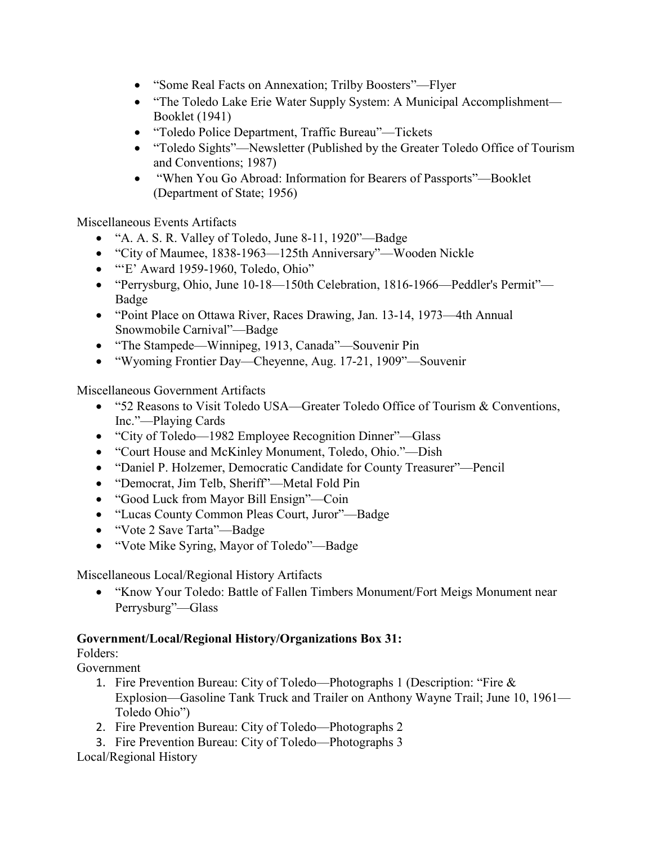- "Some Real Facts on Annexation; Trilby Boosters"—Flyer
- "The Toledo Lake Erie Water Supply System: A Municipal Accomplishment— Booklet (1941)
- "Toledo Police Department, Traffic Bureau"—Tickets
- "Toledo Sights"—Newsletter (Published by the Greater Toledo Office of Tourism and Conventions; 1987)
- "When You Go Abroad: Information for Bearers of Passports"—Booklet (Department of State; 1956)

Miscellaneous Events Artifacts

- "A. A. S. R. Valley of Toledo, June 8-11, 1920"—Badge
- "City of Maumee, 1838-1963—125th Anniversary"—Wooden Nickle
- "'E' Award 1959-1960, Toledo, Ohio"
- "Perrysburg, Ohio, June 10-18—150th Celebration, 1816-1966—Peddler's Permit"— Badge
- "Point Place on Ottawa River, Races Drawing, Jan. 13-14, 1973—4th Annual Snowmobile Carnival"—Badge
- "The Stampede—Winnipeg, 1913, Canada"—Souvenir Pin
- "Wyoming Frontier Day—Cheyenne, Aug. 17-21, 1909"—Souvenir

Miscellaneous Government Artifacts

- "52 Reasons to Visit Toledo USA—Greater Toledo Office of Tourism & Conventions, Inc."—Playing Cards
- "City of Toledo—1982 Employee Recognition Dinner"—Glass
- "Court House and McKinley Monument, Toledo, Ohio."—Dish
- "Daniel P. Holzemer, Democratic Candidate for County Treasurer"—Pencil
- "Democrat, Jim Telb, Sheriff"—Metal Fold Pin
- "Good Luck from Mayor Bill Ensign"—Coin
- "Lucas County Common Pleas Court, Juror"—Badge
- "Vote 2 Save Tarta"—Badge
- "Vote Mike Syring, Mayor of Toledo"—Badge

Miscellaneous Local/Regional History Artifacts

• "Know Your Toledo: Battle of Fallen Timbers Monument/Fort Meigs Monument near Perrysburg"—Glass

## **Government/Local/Regional History/Organizations Box 31:**

Folders:

Government

- 1. Fire Prevention Bureau: City of Toledo—Photographs 1 (Description: "Fire & Explosion—Gasoline Tank Truck and Trailer on Anthony Wayne Trail; June 10, 1961— Toledo Ohio")
- 2. Fire Prevention Bureau: City of Toledo—Photographs 2
- 3. Fire Prevention Bureau: City of Toledo—Photographs 3

Local/Regional History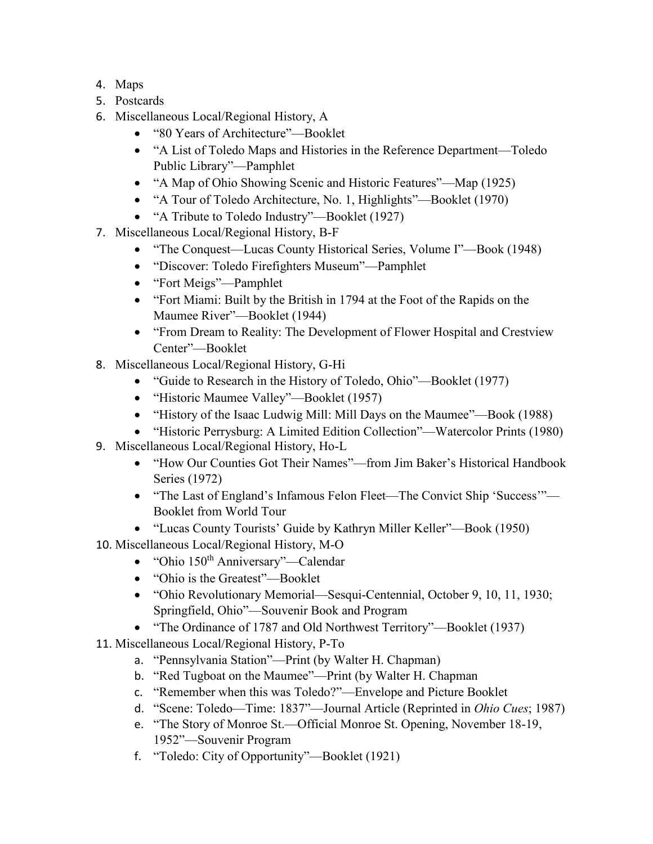- 4. Maps
- 5. Postcards
- 6. Miscellaneous Local/Regional History, A
	- "80 Years of Architecture"—Booklet
	- "A List of Toledo Maps and Histories in the Reference Department—Toledo Public Library"—Pamphlet
	- "A Map of Ohio Showing Scenic and Historic Features"—Map (1925)
	- "A Tour of Toledo Architecture, No. 1, Highlights"—Booklet (1970)
	- "A Tribute to Toledo Industry"—Booklet (1927)
- 7. Miscellaneous Local/Regional History, B-F
	- "The Conquest—Lucas County Historical Series, Volume I"—Book (1948)
	- "Discover: Toledo Firefighters Museum"—Pamphlet
	- "Fort Meigs"—Pamphlet
	- "Fort Miami: Built by the British in 1794 at the Foot of the Rapids on the Maumee River"—Booklet (1944)
	- "From Dream to Reality: The Development of Flower Hospital and Crestview Center"—Booklet
- 8. Miscellaneous Local/Regional History, G-Hi
	- "Guide to Research in the History of Toledo, Ohio"—Booklet (1977)
	- "Historic Maumee Valley"—Booklet (1957)
	- "History of the Isaac Ludwig Mill: Mill Days on the Maumee"—Book (1988)
	- "Historic Perrysburg: A Limited Edition Collection"—Watercolor Prints (1980)
- 9. Miscellaneous Local/Regional History, Ho-L
	- "How Our Counties Got Their Names"—from Jim Baker's Historical Handbook Series (1972)
	- "The Last of England's Infamous Felon Fleet—The Convict Ship 'Success'"— Booklet from World Tour
	- "Lucas County Tourists' Guide by Kathryn Miller Keller"—Book (1950)
- 10. Miscellaneous Local/Regional History, M-O
	- "Ohio  $150<sup>th</sup>$  Anniversary"—Calendar
	- "Ohio is the Greatest"—Booklet
	- "Ohio Revolutionary Memorial—Sesqui-Centennial, October 9, 10, 11, 1930; Springfield, Ohio"—Souvenir Book and Program
	- "The Ordinance of 1787 and Old Northwest Territory"—Booklet (1937)
- 11. Miscellaneous Local/Regional History, P-To
	- a. "Pennsylvania Station"—Print (by Walter H. Chapman)
	- b. "Red Tugboat on the Maumee"—Print (by Walter H. Chapman
	- c. "Remember when this was Toledo?"—Envelope and Picture Booklet
	- d. "Scene: Toledo—Time: 1837"—Journal Article (Reprinted in *Ohio Cues*; 1987)
	- e. "The Story of Monroe St.—Official Monroe St. Opening, November 18-19, 1952"—Souvenir Program
	- f. "Toledo: City of Opportunity"—Booklet (1921)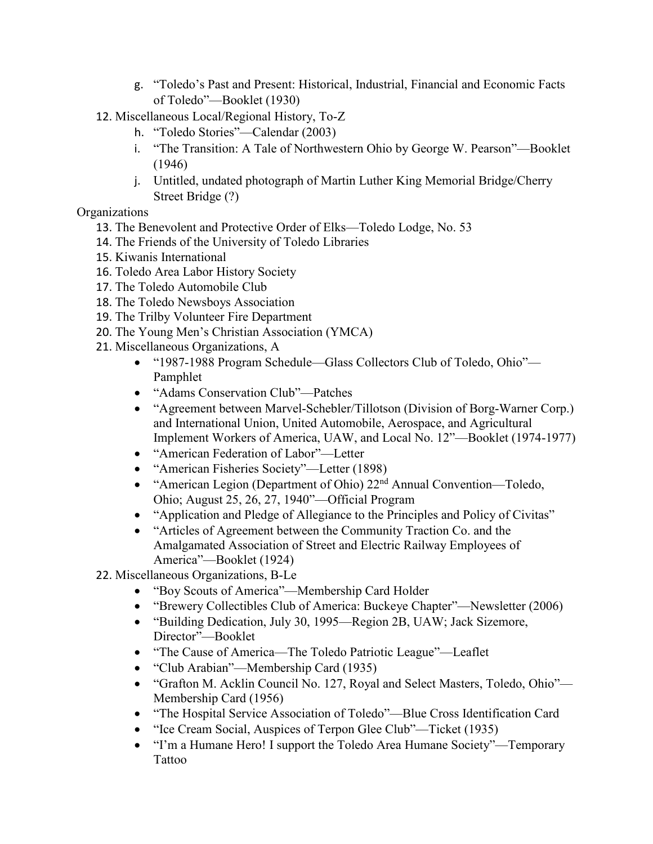- g. "Toledo's Past and Present: Historical, Industrial, Financial and Economic Facts of Toledo"—Booklet (1930)
- 12. Miscellaneous Local/Regional History, To-Z
	- h. "Toledo Stories"—Calendar (2003)
	- i. "The Transition: A Tale of Northwestern Ohio by George W. Pearson"—Booklet (1946)
	- j. Untitled, undated photograph of Martin Luther King Memorial Bridge/Cherry Street Bridge (?)

## Organizations

- 13. The Benevolent and Protective Order of Elks—Toledo Lodge, No. 53
- 14. The Friends of the University of Toledo Libraries
- 15. Kiwanis International
- 16. Toledo Area Labor History Society
- 17. The Toledo Automobile Club
- 18. The Toledo Newsboys Association
- 19. The Trilby Volunteer Fire Department
- 20. The Young Men's Christian Association (YMCA)
- 21. Miscellaneous Organizations, A
	- "1987-1988 Program Schedule—Glass Collectors Club of Toledo, Ohio"— Pamphlet
	- "Adams Conservation Club"—Patches
	- "Agreement between Marvel-Schebler/Tillotson (Division of Borg-Warner Corp.) and International Union, United Automobile, Aerospace, and Agricultural Implement Workers of America, UAW, and Local No. 12"—Booklet (1974-1977)
	- "American Federation of Labor"—Letter
	- "American Fisheries Society"—Letter (1898)
	- "American Legion (Department of Ohio) 22<sup>nd</sup> Annual Convention—Toledo, Ohio; August 25, 26, 27, 1940"—Official Program
	- "Application and Pledge of Allegiance to the Principles and Policy of Civitas"
	- "Articles of Agreement between the Community Traction Co. and the Amalgamated Association of Street and Electric Railway Employees of America"—Booklet (1924)
- 22. Miscellaneous Organizations, B-Le
	- "Boy Scouts of America"—Membership Card Holder
	- "Brewery Collectibles Club of America: Buckeye Chapter"—Newsletter (2006)
	- "Building Dedication, July 30, 1995—Region 2B, UAW; Jack Sizemore, Director"—Booklet
	- "The Cause of America—The Toledo Patriotic League"—Leaflet
	- "Club Arabian"—Membership Card (1935)
	- "Grafton M. Acklin Council No. 127, Royal and Select Masters, Toledo, Ohio"— Membership Card (1956)
	- "The Hospital Service Association of Toledo"—Blue Cross Identification Card
	- "Ice Cream Social, Auspices of Terpon Glee Club"—Ticket (1935)
	- "I'm a Humane Hero! I support the Toledo Area Humane Society"—Temporary Tattoo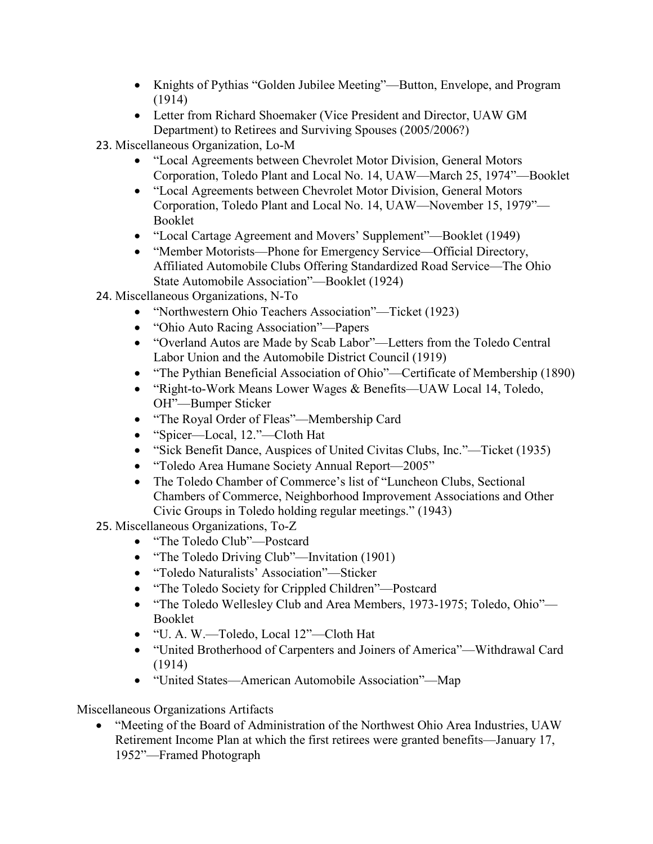- Knights of Pythias "Golden Jubilee Meeting"—Button, Envelope, and Program (1914)
- Letter from Richard Shoemaker (Vice President and Director, UAW GM Department) to Retirees and Surviving Spouses (2005/2006?)
- 23. Miscellaneous Organization, Lo-M
	- "Local Agreements between Chevrolet Motor Division, General Motors Corporation, Toledo Plant and Local No. 14, UAW—March 25, 1974"—Booklet
	- "Local Agreements between Chevrolet Motor Division, General Motors Corporation, Toledo Plant and Local No. 14, UAW—November 15, 1979"— Booklet
	- "Local Cartage Agreement and Movers' Supplement"—Booklet (1949)
	- "Member Motorists—Phone for Emergency Service—Official Directory, Affiliated Automobile Clubs Offering Standardized Road Service—The Ohio State Automobile Association"—Booklet (1924)
- 24. Miscellaneous Organizations, N-To
	- "Northwestern Ohio Teachers Association"—Ticket (1923)
	- "Ohio Auto Racing Association"—Papers
	- "Overland Autos are Made by Scab Labor"—Letters from the Toledo Central Labor Union and the Automobile District Council (1919)
	- "The Pythian Beneficial Association of Ohio"—Certificate of Membership (1890)
	- "Right-to-Work Means Lower Wages & Benefits—UAW Local 14, Toledo, OH"—Bumper Sticker
	- "The Royal Order of Fleas"—Membership Card
	- "Spicer—Local, 12."—Cloth Hat
	- "Sick Benefit Dance, Auspices of United Civitas Clubs, Inc."—Ticket (1935)
	- "Toledo Area Humane Society Annual Report—2005"
	- The Toledo Chamber of Commerce's list of "Luncheon Clubs, Sectional Chambers of Commerce, Neighborhood Improvement Associations and Other Civic Groups in Toledo holding regular meetings." (1943)
- 25. Miscellaneous Organizations, To-Z
	- "The Toledo Club"—Postcard
	- "The Toledo Driving Club"—Invitation (1901)
	- "Toledo Naturalists' Association"—Sticker
	- "The Toledo Society for Crippled Children"—Postcard
	- "The Toledo Wellesley Club and Area Members, 1973-1975; Toledo, Ohio"— Booklet
	- "U. A. W.—Toledo, Local 12"—Cloth Hat
	- "United Brotherhood of Carpenters and Joiners of America"—Withdrawal Card (1914)
	- "United States—American Automobile Association"—Map

Miscellaneous Organizations Artifacts

• "Meeting of the Board of Administration of the Northwest Ohio Area Industries, UAW Retirement Income Plan at which the first retirees were granted benefits—January 17, 1952"—Framed Photograph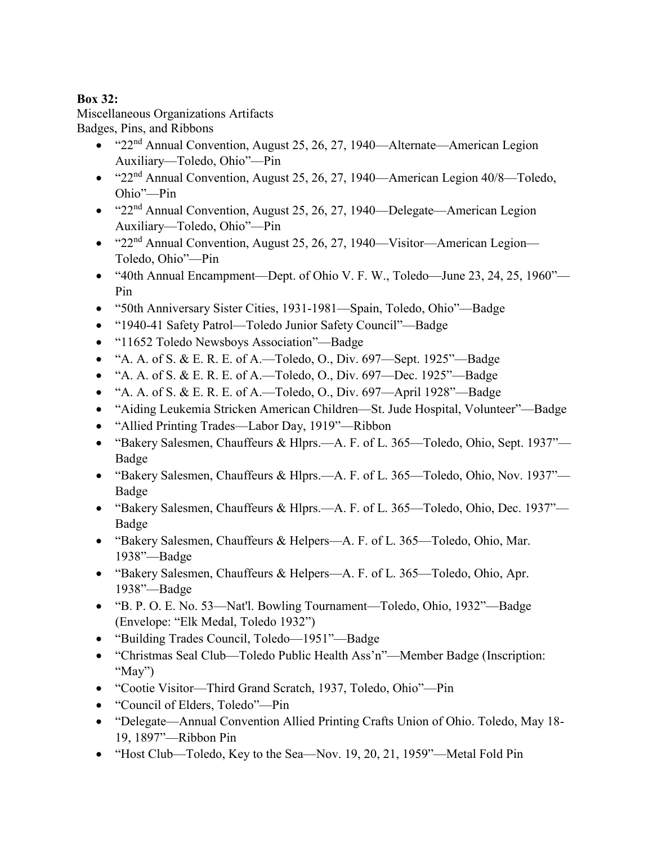### **Box 32:**

Miscellaneous Organizations Artifacts Badges, Pins, and Ribbons

- "22nd Annual Convention, August 25, 26, 27, 1940—Alternate—American Legion Auxiliary—Toledo, Ohio"—Pin
- " $22<sup>nd</sup>$  Annual Convention, August 25, 26, 27, 1940—American Legion 40/8—Toledo, Ohio"—Pin
- "22<sup>nd</sup> Annual Convention, August 25, 26, 27, 1940—Delegate—American Legion Auxiliary—Toledo, Ohio"—Pin
- "22<sup>nd</sup> Annual Convention, August 25, 26, 27, 1940—Visitor—American Legion— Toledo, Ohio"—Pin
- "40th Annual Encampment—Dept. of Ohio V. F. W., Toledo—June 23, 24, 25, 1960"— Pin
- "50th Anniversary Sister Cities, 1931-1981—Spain, Toledo, Ohio"—Badge
- "1940-41 Safety Patrol—Toledo Junior Safety Council"—Badge
- "11652 Toledo Newsboys Association"—Badge
- "A. A. of S. & E. R. E. of A.—Toledo, O., Div.  $697$ —Sept. 1925"—Badge
- "A. A. of S. & E. R. E. of A.—Toledo, O., Div.  $697$ —Dec. 1925"—Badge
- "A. A. of S. & E. R. E. of A.—Toledo, O., Div.  $697$ —April 1928"—Badge
- "Aiding Leukemia Stricken American Children—St. Jude Hospital, Volunteer"—Badge
- "Allied Printing Trades—Labor Day, 1919"—Ribbon
- "Bakery Salesmen, Chauffeurs & Hlprs.—A. F. of L. 365—Toledo, Ohio, Sept. 1937"— Badge
- "Bakery Salesmen, Chauffeurs & Hlprs.—A. F. of L. 365—Toledo, Ohio, Nov. 1937"— Badge
- "Bakery Salesmen, Chauffeurs & Hlprs.—A. F. of L. 365—Toledo, Ohio, Dec. 1937"— Badge
- "Bakery Salesmen, Chauffeurs & Helpers—A. F. of L. 365—Toledo, Ohio, Mar. 1938"—Badge
- "Bakery Salesmen, Chauffeurs & Helpers—A. F. of L. 365—Toledo, Ohio, Apr. 1938"—Badge
- "B. P. O. E. No. 53—Nat'l. Bowling Tournament—Toledo, Ohio, 1932"—Badge (Envelope: "Elk Medal, Toledo 1932")
- "Building Trades Council, Toledo—1951"—Badge
- "Christmas Seal Club—Toledo Public Health Ass'n"—Member Badge (Inscription: "May")
- "Cootie Visitor—Third Grand Scratch, 1937, Toledo, Ohio"—Pin
- "Council of Elders, Toledo"—Pin
- "Delegate—Annual Convention Allied Printing Crafts Union of Ohio. Toledo, May 18- 19, 1897"—Ribbon Pin
- "Host Club—Toledo, Key to the Sea—Nov. 19, 20, 21, 1959"—Metal Fold Pin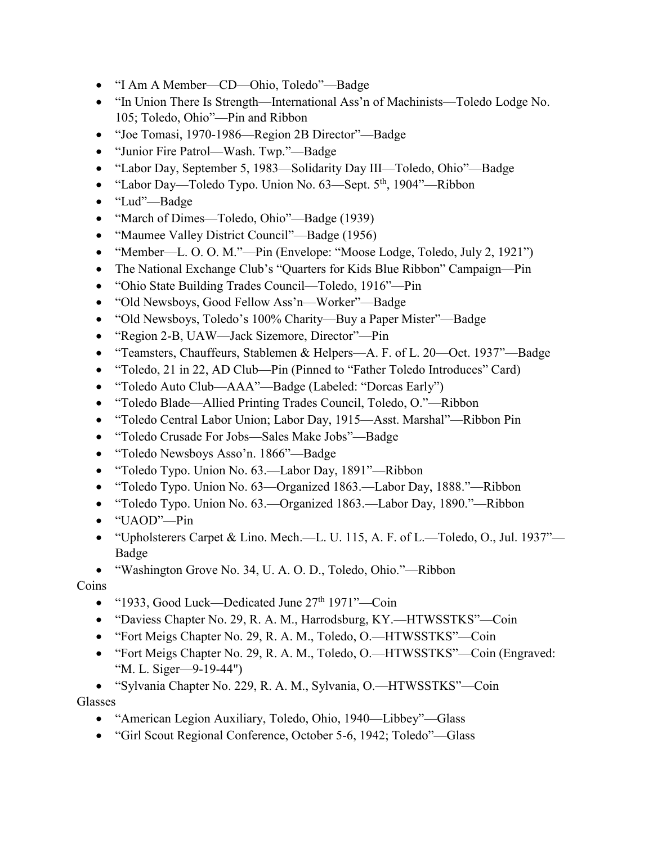- "I Am A Member—CD—Ohio, Toledo"—Badge
- "In Union There Is Strength—International Ass'n of Machinists—Toledo Lodge No. 105; Toledo, Ohio"—Pin and Ribbon
- "Joe Tomasi, 1970-1986—Region 2B Director"—Badge
- "Junior Fire Patrol—Wash. Twp."—Badge
- "Labor Day, September 5, 1983—Solidarity Day III—Toledo, Ohio"—Badge
- "Labor Day—Toledo Typo. Union No. 63—Sept. 5<sup>th</sup>, 1904"—Ribbon
- "Lud"—Badge
- "March of Dimes—Toledo, Ohio"—Badge (1939)
- "Maumee Valley District Council"—Badge (1956)
- "Member—L. O. O. M."—Pin (Envelope: "Moose Lodge, Toledo, July 2, 1921")
- The National Exchange Club's "Quarters for Kids Blue Ribbon" Campaign—Pin
- "Ohio State Building Trades Council—Toledo, 1916"—Pin
- "Old Newsboys, Good Fellow Ass'n—Worker"—Badge
- "Old Newsboys, Toledo's 100% Charity—Buy a Paper Mister"—Badge
- "Region 2-B, UAW—Jack Sizemore, Director"—Pin
- "Teamsters, Chauffeurs, Stablemen & Helpers—A. F. of L. 20—Oct. 1937"—Badge
- "Toledo, 21 in 22, AD Club—Pin (Pinned to "Father Toledo Introduces" Card)
- "Toledo Auto Club—AAA"—Badge (Labeled: "Dorcas Early")
- "Toledo Blade—Allied Printing Trades Council, Toledo, O."—Ribbon
- "Toledo Central Labor Union; Labor Day, 1915—Asst. Marshal"—Ribbon Pin
- "Toledo Crusade For Jobs—Sales Make Jobs"—Badge
- "Toledo Newsboys Asso'n. 1866"—Badge
- "Toledo Typo. Union No. 63.—Labor Day, 1891"—Ribbon
- "Toledo Typo. Union No. 63—Organized 1863.—Labor Day, 1888."—Ribbon
- "Toledo Typo. Union No. 63.—Organized 1863.—Labor Day, 1890."—Ribbon
- "UAOD"—Pin
- "Upholsterers Carpet & Lino. Mech.—L. U. 115, A. F. of L.—Toledo, O., Jul. 1937"— Badge
- "Washington Grove No. 34, U. A. O. D., Toledo, Ohio."—Ribbon

Coins

- "1933, Good Luck—Dedicated June  $27<sup>th</sup> 1971$ "—Coin
- "Daviess Chapter No. 29, R. A. M., Harrodsburg, KY.—HTWSSTKS"—Coin
- "Fort Meigs Chapter No. 29, R. A. M., Toledo, O.—HTWSSTKS"—Coin
- "Fort Meigs Chapter No. 29, R. A. M., Toledo, O.—HTWSSTKS"—Coin (Engraved: "M. L. Siger—9-19-44")
- "Sylvania Chapter No. 229, R. A. M., Sylvania, O.—HTWSSTKS"—Coin

Glasses

- "American Legion Auxiliary, Toledo, Ohio, 1940—Libbey"—Glass
- "Girl Scout Regional Conference, October 5-6, 1942; Toledo"—Glass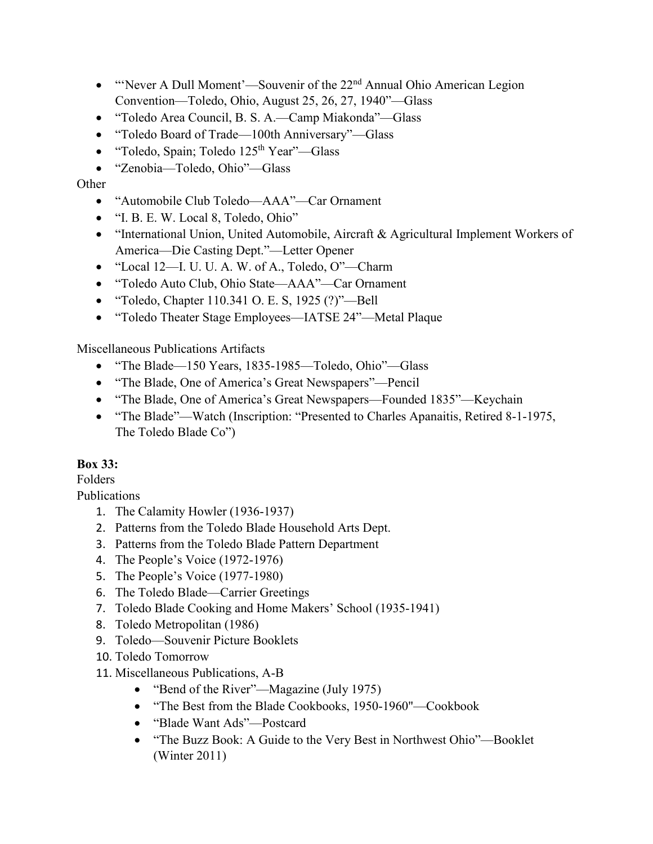- "Never A Dull Moment'—Souvenir of the 22<sup>nd</sup> Annual Ohio American Legion Convention—Toledo, Ohio, August 25, 26, 27, 1940"—Glass
- "Toledo Area Council, B. S. A.—Camp Miakonda"—Glass
- "Toledo Board of Trade—100th Anniversary"—Glass
- "Toledo, Spain; Toledo 125<sup>th</sup> Year"—Glass
- "Zenobia—Toledo, Ohio"—Glass

### **Other**

- "Automobile Club Toledo—AAA"—Car Ornament
- "I. B. E. W. Local 8, Toledo, Ohio"
- "International Union, United Automobile, Aircraft & Agricultural Implement Workers of America—Die Casting Dept."—Letter Opener
- "Local 12—I. U. U. A. W. of A., Toledo, O"—Charm
- "Toledo Auto Club, Ohio State—AAA"—Car Ornament
- "Toledo, Chapter 110.341 O. E. S, 1925 (?)"—Bell
- "Toledo Theater Stage Employees—IATSE 24"—Metal Plaque

Miscellaneous Publications Artifacts

- "The Blade—150 Years, 1835-1985—Toledo, Ohio"—Glass
- "The Blade, One of America's Great Newspapers"—Pencil
- "The Blade, One of America's Great Newspapers—Founded 1835"—Keychain
- "The Blade"—Watch (Inscription: "Presented to Charles Apanaitis, Retired 8-1-1975, The Toledo Blade Co")

## **Box 33:**

Folders

Publications

- 1. The Calamity Howler (1936-1937)
- 2. Patterns from the Toledo Blade Household Arts Dept.
- 3. Patterns from the Toledo Blade Pattern Department
- 4. The People's Voice (1972-1976)
- 5. The People's Voice (1977-1980)
- 6. The Toledo Blade—Carrier Greetings
- 7. Toledo Blade Cooking and Home Makers' School (1935-1941)
- 8. Toledo Metropolitan (1986)
- 9. Toledo—Souvenir Picture Booklets
- 10. Toledo Tomorrow
- 11. Miscellaneous Publications, A-B
	- "Bend of the River"—Magazine (July 1975)
	- "The Best from the Blade Cookbooks, 1950-1960"—Cookbook
	- "Blade Want Ads"—Postcard
	- "The Buzz Book: A Guide to the Very Best in Northwest Ohio"—Booklet (Winter 2011)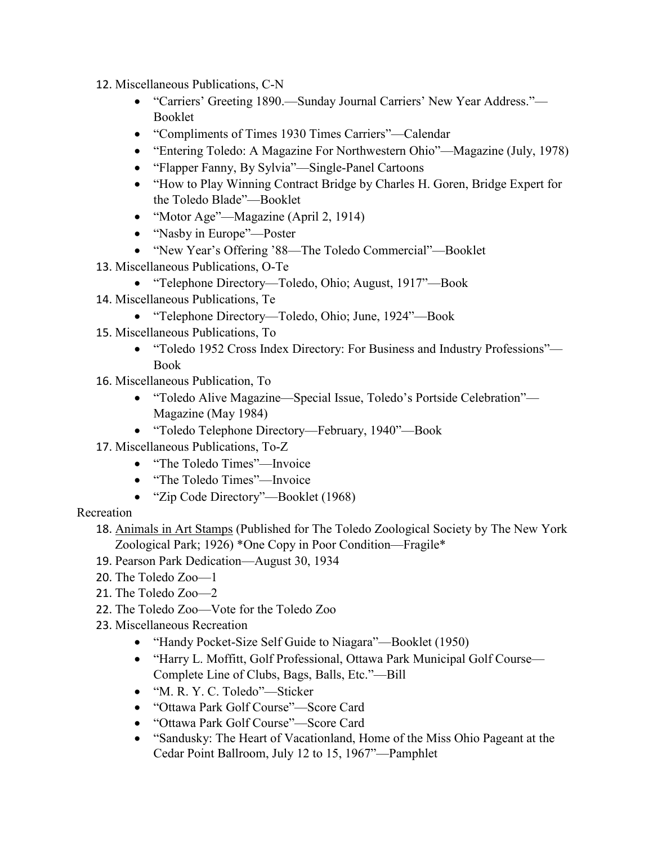- 12. Miscellaneous Publications, C-N
	- "Carriers' Greeting 1890.—Sunday Journal Carriers' New Year Address."— Booklet
	- "Compliments of Times 1930 Times Carriers"—Calendar
	- "Entering Toledo: A Magazine For Northwestern Ohio"—Magazine (July, 1978)
	- "Flapper Fanny, By Sylvia"—Single-Panel Cartoons
	- "How to Play Winning Contract Bridge by Charles H. Goren, Bridge Expert for the Toledo Blade"—Booklet
	- "Motor Age"—Magazine (April 2, 1914)
	- "Nasby in Europe"—Poster
	- "New Year's Offering '88—The Toledo Commercial"—Booklet
- 13. Miscellaneous Publications, O-Te
	- "Telephone Directory—Toledo, Ohio; August, 1917"—Book
- 14. Miscellaneous Publications, Te
	- "Telephone Directory—Toledo, Ohio; June, 1924"—Book
- 15. Miscellaneous Publications, To
	- "Toledo 1952 Cross Index Directory: For Business and Industry Professions"— Book
- 16. Miscellaneous Publication, To
	- "Toledo Alive Magazine—Special Issue, Toledo's Portside Celebration"— Magazine (May 1984)
	- "Toledo Telephone Directory—February, 1940"—Book
- 17. Miscellaneous Publications, To-Z
	- "The Toledo Times"—Invoice
	- "The Toledo Times"—Invoice
	- "Zip Code Directory"—Booklet (1968)

### Recreation

- 18. Animals in Art Stamps (Published for The Toledo Zoological Society by The New York Zoological Park; 1926) \*One Copy in Poor Condition—Fragile\*
- 19. Pearson Park Dedication—August 30, 1934
- 20. The Toledo Zoo—1
- 21. The Toledo Zoo—2
- 22. The Toledo Zoo—Vote for the Toledo Zoo
- 23. Miscellaneous Recreation
	- "Handy Pocket-Size Self Guide to Niagara"—Booklet (1950)
	- "Harry L. Moffitt, Golf Professional, Ottawa Park Municipal Golf Course— Complete Line of Clubs, Bags, Balls, Etc."—Bill
	- "M. R. Y. C. Toledo"—Sticker
	- "Ottawa Park Golf Course"—Score Card
	- "Ottawa Park Golf Course"—Score Card
	- "Sandusky: The Heart of Vacationland, Home of the Miss Ohio Pageant at the Cedar Point Ballroom, July 12 to 15, 1967"—Pamphlet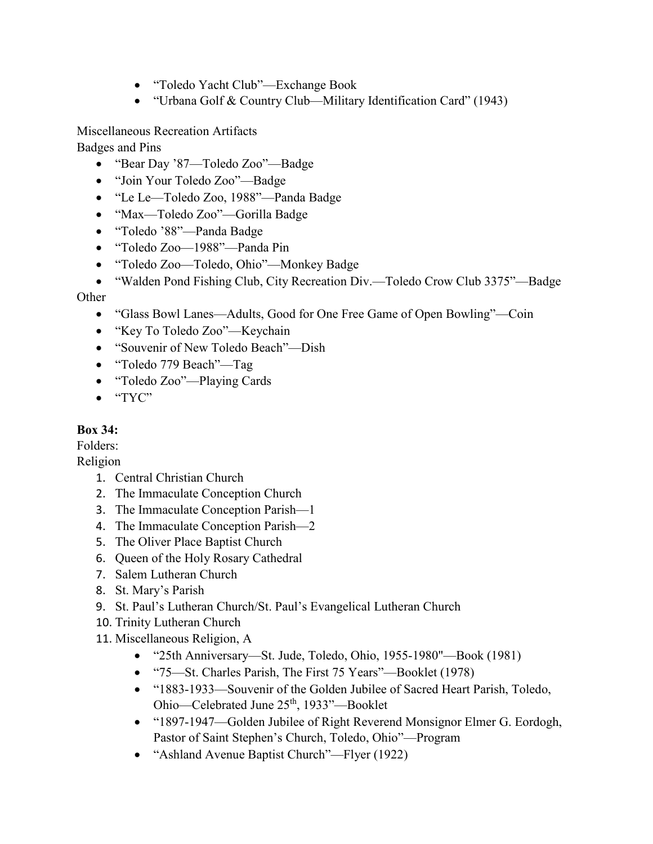- "Toledo Yacht Club"—Exchange Book
- "Urbana Golf & Country Club—Military Identification Card" (1943)

Miscellaneous Recreation Artifacts

Badges and Pins

- "Bear Day '87—Toledo Zoo"—Badge
- "Join Your Toledo Zoo"—Badge
- "Le Le—Toledo Zoo, 1988"—Panda Badge
- "Max—Toledo Zoo"—Gorilla Badge
- "Toledo '88"—Panda Badge
- "Toledo Zoo—1988"—Panda Pin
- "Toledo Zoo—Toledo, Ohio"—Monkey Badge
- "Walden Pond Fishing Club, City Recreation Div.—Toledo Crow Club 3375"—Badge

**Other** 

- "Glass Bowl Lanes—Adults, Good for One Free Game of Open Bowling"—Coin
- "Key To Toledo Zoo"—Keychain
- "Souvenir of New Toledo Beach"—Dish
- "Toledo 779 Beach"—Tag
- "Toledo Zoo"—Playing Cards
- $\bullet$  "TYC"

## **Box 34:**

Folders:

Religion

- 1. Central Christian Church
- 2. The Immaculate Conception Church
- 3. The Immaculate Conception Parish—1
- 4. The Immaculate Conception Parish—2
- 5. The Oliver Place Baptist Church
- 6. Queen of the Holy Rosary Cathedral
- 7. Salem Lutheran Church
- 8. St. Mary's Parish
- 9. St. Paul's Lutheran Church/St. Paul's Evangelical Lutheran Church
- 10. Trinity Lutheran Church
- 11. Miscellaneous Religion, A
	- "25th Anniversary—St. Jude, Toledo, Ohio, 1955-1980"—Book (1981)
	- "75—St. Charles Parish, The First 75 Years"—Booklet (1978)
	- "1883-1933—Souvenir of the Golden Jubilee of Sacred Heart Parish, Toledo, Ohio—Celebrated June 25<sup>th</sup>, 1933"—Booklet
	- "1897-1947—Golden Jubilee of Right Reverend Monsignor Elmer G. Eordogh, Pastor of Saint Stephen's Church, Toledo, Ohio"—Program
	- "Ashland Avenue Baptist Church"—Flyer (1922)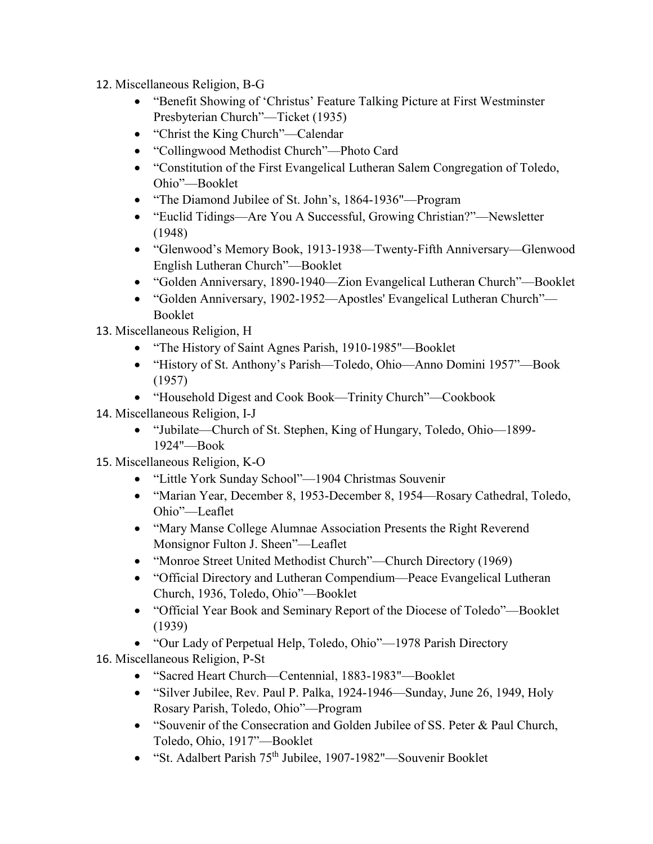- 12. Miscellaneous Religion, B-G
	- "Benefit Showing of 'Christus' Feature Talking Picture at First Westminster Presbyterian Church"—Ticket (1935)
	- "Christ the King Church"—Calendar
	- "Collingwood Methodist Church"—Photo Card
	- "Constitution of the First Evangelical Lutheran Salem Congregation of Toledo, Ohio"—Booklet
	- "The Diamond Jubilee of St. John's, 1864-1936"—Program
	- "Euclid Tidings—Are You A Successful, Growing Christian?"—Newsletter (1948)
	- "Glenwood's Memory Book, 1913-1938—Twenty-Fifth Anniversary—Glenwood English Lutheran Church"—Booklet
	- "Golden Anniversary, 1890-1940—Zion Evangelical Lutheran Church"—Booklet
	- "Golden Anniversary, 1902-1952—Apostles' Evangelical Lutheran Church"— Booklet
- 13. Miscellaneous Religion, H
	- "The History of Saint Agnes Parish, 1910-1985"—Booklet
	- "History of St. Anthony's Parish—Toledo, Ohio—Anno Domini 1957"—Book (1957)
	- "Household Digest and Cook Book—Trinity Church"—Cookbook
- 14. Miscellaneous Religion, I-J
	- "Jubilate—Church of St. Stephen, King of Hungary, Toledo, Ohio—1899- 1924"—Book
- 15. Miscellaneous Religion, K-O
	- "Little York Sunday School"—1904 Christmas Souvenir
	- "Marian Year, December 8, 1953-December 8, 1954—Rosary Cathedral, Toledo, Ohio"—Leaflet
	- "Mary Manse College Alumnae Association Presents the Right Reverend Monsignor Fulton J. Sheen"—Leaflet
	- "Monroe Street United Methodist Church"—Church Directory (1969)
	- "Official Directory and Lutheran Compendium—Peace Evangelical Lutheran Church, 1936, Toledo, Ohio"—Booklet
	- "Official Year Book and Seminary Report of the Diocese of Toledo"—Booklet (1939)
	- "Our Lady of Perpetual Help, Toledo, Ohio"—1978 Parish Directory
- 16. Miscellaneous Religion, P-St
	- "Sacred Heart Church—Centennial, 1883-1983"—Booklet
	- "Silver Jubilee, Rev. Paul P. Palka, 1924-1946—Sunday, June 26, 1949, Holy Rosary Parish, Toledo, Ohio"—Program
	- "Souvenir of the Consecration and Golden Jubilee of SS. Peter & Paul Church, Toledo, Ohio, 1917"—Booklet
	- "St. Adalbert Parish 75<sup>th</sup> Jubilee, 1907-1982"—Souvenir Booklet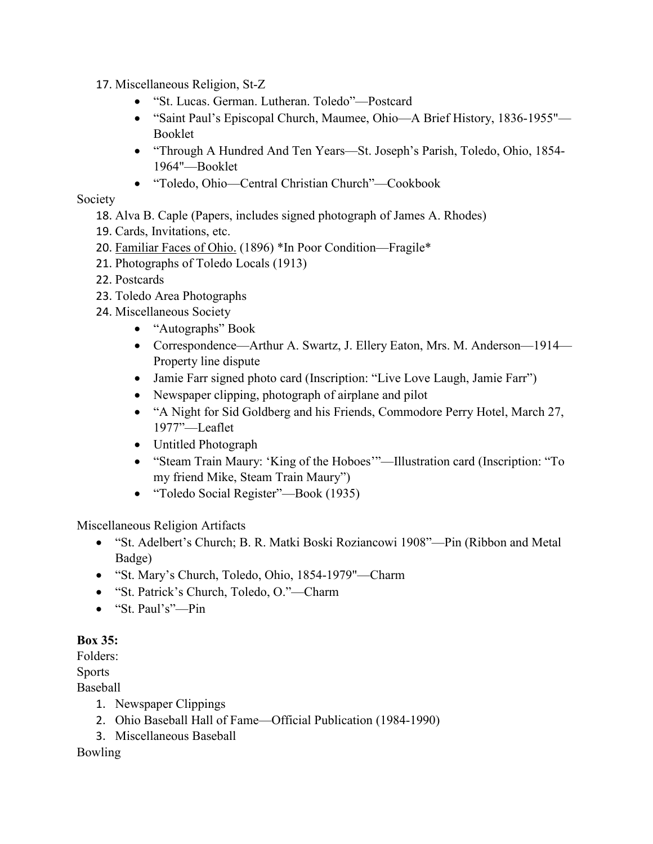- 17. Miscellaneous Religion, St-Z
	- "St. Lucas. German. Lutheran. Toledo"—Postcard
	- "Saint Paul's Episcopal Church, Maumee, Ohio—A Brief History, 1836-1955"— Booklet
	- "Through A Hundred And Ten Years—St. Joseph's Parish, Toledo, Ohio, 1854- 1964"—Booklet
	- "Toledo, Ohio—Central Christian Church"—Cookbook

### Society

- 18. Alva B. Caple (Papers, includes signed photograph of James A. Rhodes)
- 19. Cards, Invitations, etc.
- 20. Familiar Faces of Ohio. (1896) \*In Poor Condition—Fragile\*
- 21. Photographs of Toledo Locals (1913)
- 22. Postcards
- 23. Toledo Area Photographs
- 24. Miscellaneous Society
	- "Autographs" Book
	- Correspondence—Arthur A. Swartz, J. Ellery Eaton, Mrs. M. Anderson—1914— Property line dispute
	- Jamie Farr signed photo card (Inscription: "Live Love Laugh, Jamie Farr")
	- Newspaper clipping, photograph of airplane and pilot
	- "A Night for Sid Goldberg and his Friends, Commodore Perry Hotel, March 27, 1977"—Leaflet
	- Untitled Photograph
	- "Steam Train Maury: 'King of the Hoboes'"—Illustration card (Inscription: "To my friend Mike, Steam Train Maury")
	- "Toledo Social Register"—Book (1935)

Miscellaneous Religion Artifacts

- "St. Adelbert's Church; B. R. Matki Boski Roziancowi 1908"—Pin (Ribbon and Metal Badge)
- "St. Mary's Church, Toledo, Ohio, 1854-1979"—Charm
- "St. Patrick's Church, Toledo, O."—Charm
- "St. Paul's"—Pin

## **Box 35:**

Folders:

Sports

Baseball

- 1. Newspaper Clippings
- 2. Ohio Baseball Hall of Fame—Official Publication (1984-1990)
- 3. Miscellaneous Baseball

Bowling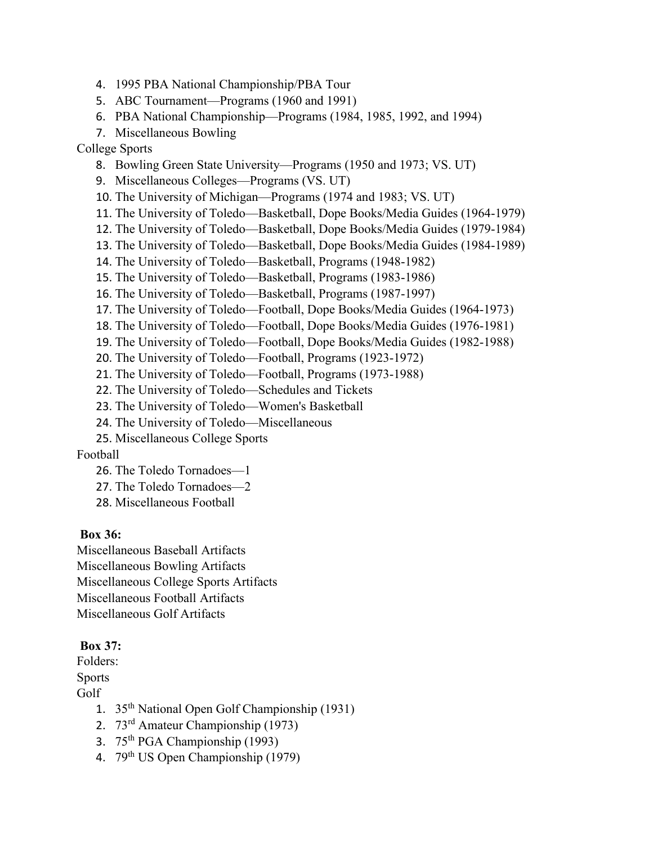- 4. 1995 PBA National Championship/PBA Tour
- 5. ABC Tournament—Programs (1960 and 1991)
- 6. PBA National Championship—Programs (1984, 1985, 1992, and 1994)
- 7. Miscellaneous Bowling

College Sports

- 8. Bowling Green State University—Programs (1950 and 1973; VS. UT)
- 9. Miscellaneous Colleges—Programs (VS. UT)
- 10. The University of Michigan—Programs (1974 and 1983; VS. UT)
- 11. The University of Toledo—Basketball, Dope Books/Media Guides (1964-1979)
- 12. The University of Toledo—Basketball, Dope Books/Media Guides (1979-1984)
- 13. The University of Toledo—Basketball, Dope Books/Media Guides (1984-1989)
- 14. The University of Toledo—Basketball, Programs (1948-1982)
- 15. The University of Toledo—Basketball, Programs (1983-1986)
- 16. The University of Toledo—Basketball, Programs (1987-1997)
- 17. The University of Toledo—Football, Dope Books/Media Guides (1964-1973)
- 18. The University of Toledo—Football, Dope Books/Media Guides (1976-1981)
- 19. The University of Toledo—Football, Dope Books/Media Guides (1982-1988)
- 20. The University of Toledo—Football, Programs (1923-1972)
- 21. The University of Toledo—Football, Programs (1973-1988)
- 22. The University of Toledo—Schedules and Tickets
- 23. The University of Toledo—Women's Basketball
- 24. The University of Toledo—Miscellaneous
- 25. Miscellaneous College Sports

Football

- 26. The Toledo Tornadoes—1
- 27. The Toledo Tornadoes—2
- 28. Miscellaneous Football

#### **Box 36:**

Miscellaneous Baseball Artifacts Miscellaneous Bowling Artifacts Miscellaneous College Sports Artifacts Miscellaneous Football Artifacts Miscellaneous Golf Artifacts

#### **Box 37:**

Folders: Sports Golf

- 1. 35th National Open Golf Championship (1931)
- 2. 73<sup>rd</sup> Amateur Championship (1973)
- 3.  $75<sup>th</sup> PGA Championship (1993)$
- 4. 79<sup>th</sup> US Open Championship (1979)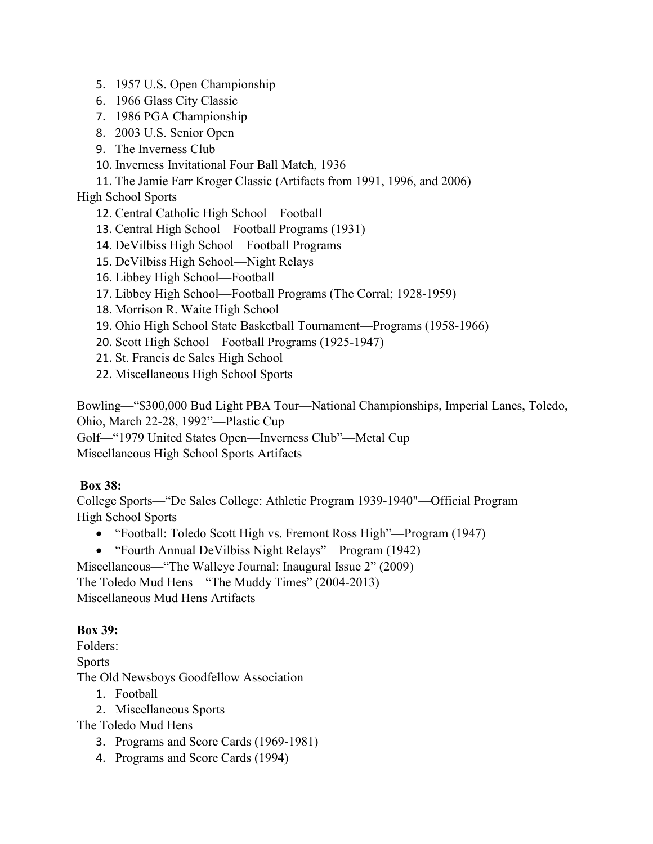- 5. 1957 U.S. Open Championship
- 6. 1966 Glass City Classic
- 7. 1986 PGA Championship
- 8. 2003 U.S. Senior Open
- 9. The Inverness Club
- 10. Inverness Invitational Four Ball Match, 1936
- 11. The Jamie Farr Kroger Classic (Artifacts from 1991, 1996, and 2006)

### High School Sports

- 12. Central Catholic High School—Football
- 13. Central High School—Football Programs (1931)
- 14. DeVilbiss High School—Football Programs
- 15. DeVilbiss High School—Night Relays
- 16. Libbey High School—Football
- 17. Libbey High School—Football Programs (The Corral; 1928-1959)
- 18. Morrison R. Waite High School
- 19. Ohio High School State Basketball Tournament—Programs (1958-1966)
- 20. Scott High School—Football Programs (1925-1947)
- 21. St. Francis de Sales High School
- 22. Miscellaneous High School Sports

Bowling—"\$300,000 Bud Light PBA Tour—National Championships, Imperial Lanes, Toledo, Ohio, March 22-28, 1992"—Plastic Cup Golf—"1979 United States Open—Inverness Club"—Metal Cup Miscellaneous High School Sports Artifacts

### **Box 38:**

College Sports—"De Sales College: Athletic Program 1939-1940"—Official Program High School Sports

- "Football: Toledo Scott High vs. Fremont Ross High"—Program (1947)
- "Fourth Annual DeVilbiss Night Relays"—Program (1942)
- Miscellaneous—"The Walleye Journal: Inaugural Issue 2" (2009)
- The Toledo Mud Hens—"The Muddy Times" (2004-2013) Miscellaneous Mud Hens Artifacts

### **Box 39:**

Folders: Sports The Old Newsboys Goodfellow Association

- 1. Football
- 2. Miscellaneous Sports

### The Toledo Mud Hens

- 3. Programs and Score Cards (1969-1981)
- 4. Programs and Score Cards (1994)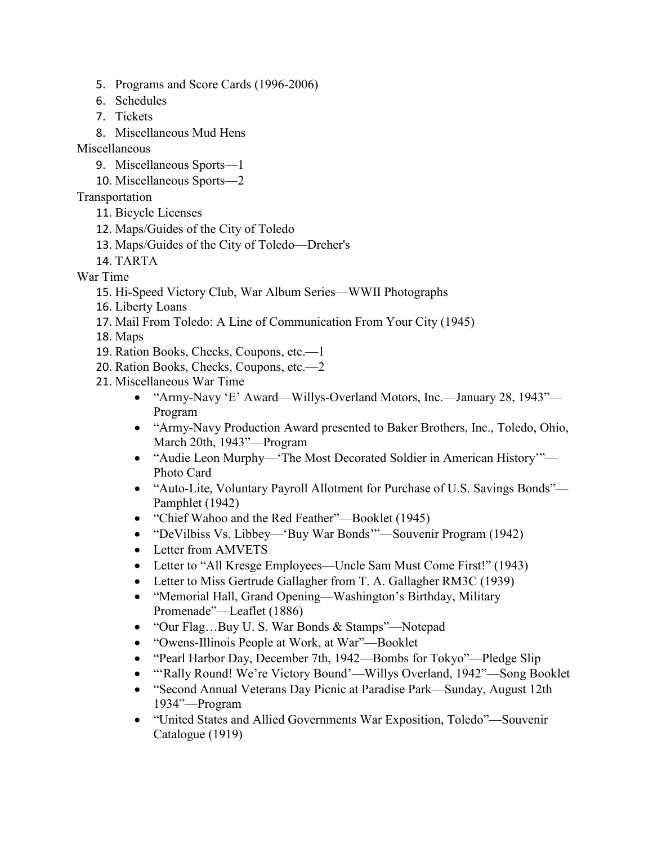- 5. Programs and Score Cards (1996-2006)
- 6. Schedules
- 7. Tickets
- 8. Miscellaneous Mud Hens

### **Miscellaneous**

- 9. Miscellaneous Sports—1
- 10. Miscellaneous Sports—2

## Transportation

- 11. Bicycle Licenses
- 12. Maps/Guides of the City of Toledo
- 13. Maps/Guides of the City of Toledo—Dreher's
- 14. TARTA
- War Time
	- 15. Hi-Speed Victory Club, War Album Series—WWII Photographs
	- 16. Liberty Loans
	- 17. Mail From Toledo: A Line of Communication From Your City (1945)
	- 18. Maps
	- 19. Ration Books, Checks, Coupons, etc.—1
	- 20. Ration Books, Checks, Coupons, etc.—2
	- 21. Miscellaneous War Time
		- "Army-Navy 'E' Award—Willys-Overland Motors, Inc.—January 28, 1943"— Program
		- "Army-Navy Production Award presented to Baker Brothers, Inc., Toledo, Ohio, March 20th, 1943"—Program
		- "Audie Leon Murphy—'The Most Decorated Soldier in American History'"— Photo Card
		- "Auto-Lite, Voluntary Payroll Allotment for Purchase of U.S. Savings Bonds"— Pamphlet (1942)
		- "Chief Wahoo and the Red Feather"—Booklet (1945)
		- "DeVilbiss Vs. Libbey—'Buy War Bonds'"—Souvenir Program (1942)
		- Letter from AMVETS
		- Letter to "All Kresge Employees—Uncle Sam Must Come First!" (1943)
		- Letter to Miss Gertrude Gallagher from T. A. Gallagher RM3C (1939)
		- "Memorial Hall, Grand Opening—Washington's Birthday, Military Promenade"—Leaflet (1886)
		- "Our Flag...Buy U. S. War Bonds & Stamps"—Notepad
		- "Owens-Illinois People at Work, at War"—Booklet
		- "Pearl Harbor Day, December 7th, 1942—Bombs for Tokyo"—Pledge Slip
		- "'Rally Round! We're Victory Bound'—Willys Overland, 1942"—Song Booklet
		- "Second Annual Veterans Day Picnic at Paradise Park—Sunday, August 12th 1934"—Program
		- "United States and Allied Governments War Exposition, Toledo"—Souvenir Catalogue (1919)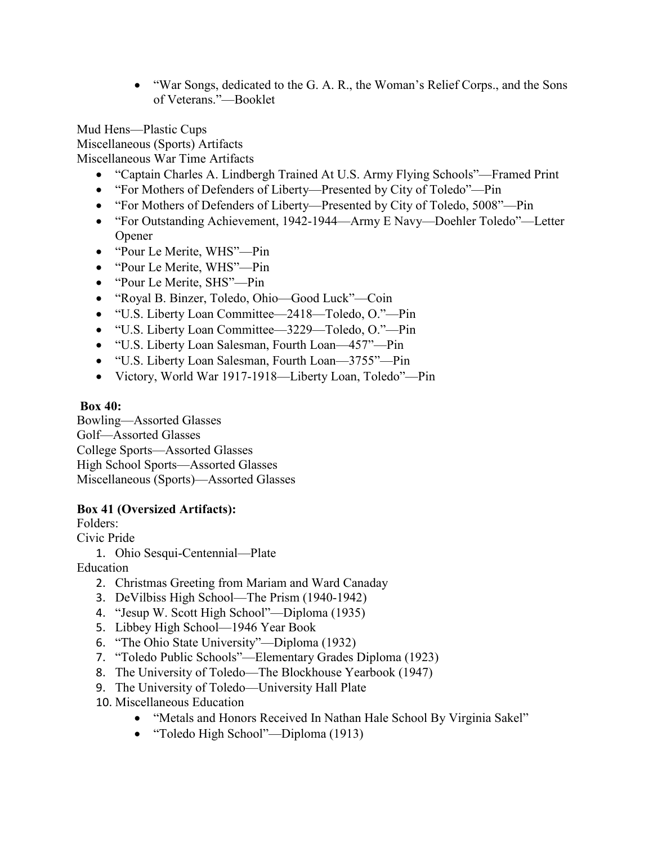• "War Songs, dedicated to the G. A. R., the Woman's Relief Corps., and the Sons of Veterans."—Booklet

Mud Hens—Plastic Cups Miscellaneous (Sports) Artifacts Miscellaneous War Time Artifacts

- "Captain Charles A. Lindbergh Trained At U.S. Army Flying Schools"—Framed Print
- "For Mothers of Defenders of Liberty—Presented by City of Toledo"—Pin
- "For Mothers of Defenders of Liberty—Presented by City of Toledo, 5008"—Pin
- "For Outstanding Achievement, 1942-1944—Army E Navy—Doehler Toledo"—Letter Opener
- "Pour Le Merite, WHS"—Pin
- "Pour Le Merite, WHS"—Pin
- "Pour Le Merite, SHS"—Pin
- "Royal B. Binzer, Toledo, Ohio—Good Luck"—Coin
- "U.S. Liberty Loan Committee—2418—Toledo, O."—Pin
- "U.S. Liberty Loan Committee—3229—Toledo, O."—Pin
- "U.S. Liberty Loan Salesman, Fourth Loan—457"—Pin
- "U.S. Liberty Loan Salesman, Fourth Loan—3755"—Pin
- Victory, World War 1917-1918—Liberty Loan, Toledo"—Pin

### **Box 40:**

Bowling—Assorted Glasses Golf—Assorted Glasses College Sports—Assorted Glasses High School Sports—Assorted Glasses Miscellaneous (Sports)—Assorted Glasses

## **Box 41 (Oversized Artifacts):**

Folders:

Civic Pride

1. Ohio Sesqui-Centennial—Plate

Education

- 2. Christmas Greeting from Mariam and Ward Canaday
- 3. DeVilbiss High School—The Prism (1940-1942)
- 4. "Jesup W. Scott High School"—Diploma (1935)
- 5. Libbey High School—1946 Year Book
- 6. "The Ohio State University"—Diploma (1932)
- 7. "Toledo Public Schools"—Elementary Grades Diploma (1923)
- 8. The University of Toledo—The Blockhouse Yearbook (1947)
- 9. The University of Toledo—University Hall Plate
- 10. Miscellaneous Education
	- "Metals and Honors Received In Nathan Hale School By Virginia Sakel"
	- "Toledo High School"—Diploma (1913)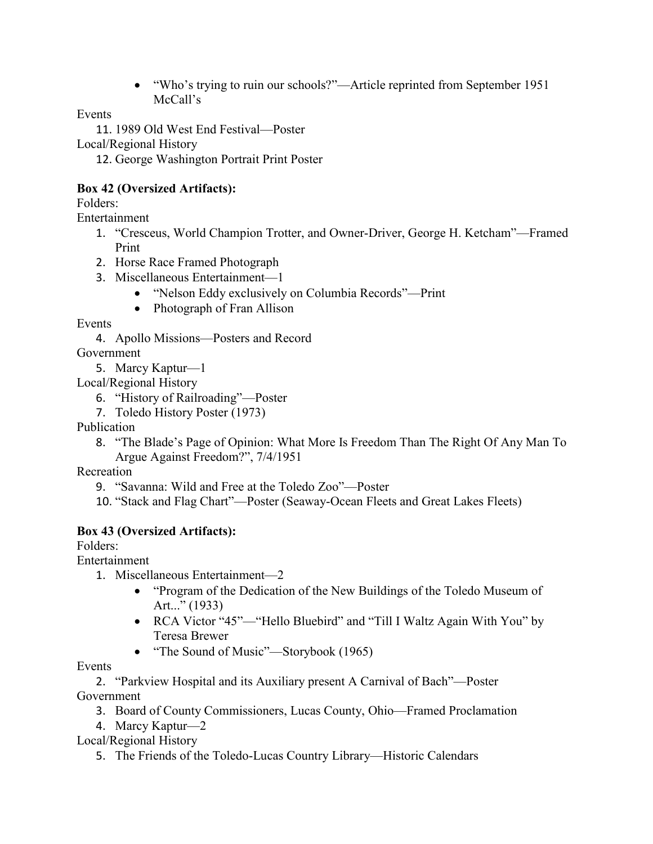• "Who's trying to ruin our schools?"—Article reprinted from September 1951 McCall's

**Events** 

11. 1989 Old West End Festival—Poster

Local/Regional History

12. George Washington Portrait Print Poster

# **Box 42 (Oversized Artifacts):**

Folders:

Entertainment

- 1. "Cresceus, World Champion Trotter, and Owner-Driver, George H. Ketcham"—Framed Print
- 2. Horse Race Framed Photograph
- 3. Miscellaneous Entertainment—1
	- "Nelson Eddy exclusively on Columbia Records"—Print
	- Photograph of Fran Allison

Events

4. Apollo Missions—Posters and Record

Government

5. Marcy Kaptur—1

Local/Regional History

- 6. "History of Railroading"—Poster
- 7. Toledo History Poster (1973)
- Publication
	- 8. "The Blade's Page of Opinion: What More Is Freedom Than The Right Of Any Man To Argue Against Freedom?", 7/4/1951

Recreation

- 9. "Savanna: Wild and Free at the Toledo Zoo"—Poster
- 10. "Stack and Flag Chart"—Poster (Seaway-Ocean Fleets and Great Lakes Fleets)

# **Box 43 (Oversized Artifacts):**

Folders:

Entertainment

- 1. Miscellaneous Entertainment—2
	- "Program of the Dedication of the New Buildings of the Toledo Museum of Art..." (1933)
	- RCA Victor "45"—"Hello Bluebird" and "Till I Waltz Again With You" by Teresa Brewer
	- "The Sound of Music"—Storybook (1965)

Events

2. "Parkview Hospital and its Auxiliary present A Carnival of Bach"—Poster Government

3. Board of County Commissioners, Lucas County, Ohio—Framed Proclamation

4. Marcy Kaptur—2

Local/Regional History

5. The Friends of the Toledo-Lucas Country Library—Historic Calendars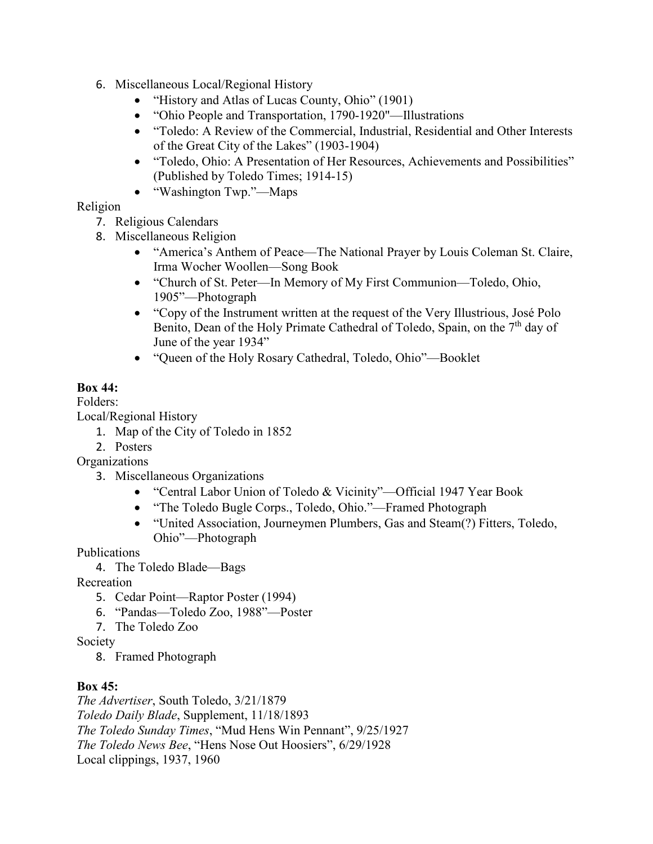- 6. Miscellaneous Local/Regional History
	- "History and Atlas of Lucas County, Ohio" (1901)
	- "Ohio People and Transportation, 1790-1920"—Illustrations
	- "Toledo: A Review of the Commercial, Industrial, Residential and Other Interests of the Great City of the Lakes" (1903-1904)
	- "Toledo, Ohio: A Presentation of Her Resources, Achievements and Possibilities" (Published by Toledo Times; 1914-15)
	- "Washington Twp."—Maps

### Religion

- 7. Religious Calendars
- 8. Miscellaneous Religion
	- "America's Anthem of Peace—The National Prayer by Louis Coleman St. Claire, Irma Wocher Woollen—Song Book
	- "Church of St. Peter—In Memory of My First Communion—Toledo, Ohio, 1905"—Photograph
	- "Copy of the Instrument written at the request of the Very Illustrious, José Polo Benito, Dean of the Holy Primate Cathedral of Toledo, Spain, on the  $7<sup>th</sup>$  day of June of the year 1934"
	- "Queen of the Holy Rosary Cathedral, Toledo, Ohio"—Booklet

## **Box 44:**

### Folders:

Local/Regional History

- 1. Map of the City of Toledo in 1852
- 2. Posters

**Organizations** 

- 3. Miscellaneous Organizations
	- "Central Labor Union of Toledo & Vicinity"—Official 1947 Year Book
	- "The Toledo Bugle Corps., Toledo, Ohio."—Framed Photograph
	- "United Association, Journeymen Plumbers, Gas and Steam(?) Fitters, Toledo, Ohio"—Photograph

Publications

4. The Toledo Blade—Bags

Recreation

- 5. Cedar Point—Raptor Poster (1994)
- 6. "Pandas—Toledo Zoo, 1988"—Poster
- 7. The Toledo Zoo

Society

8. Framed Photograph

## **Box 45:**

*The Advertiser*, South Toledo, 3/21/1879 *Toledo Daily Blade*, Supplement, 11/18/1893 *The Toledo Sunday Times*, "Mud Hens Win Pennant", 9/25/1927 *The Toledo News Bee*, "Hens Nose Out Hoosiers", 6/29/1928 Local clippings, 1937, 1960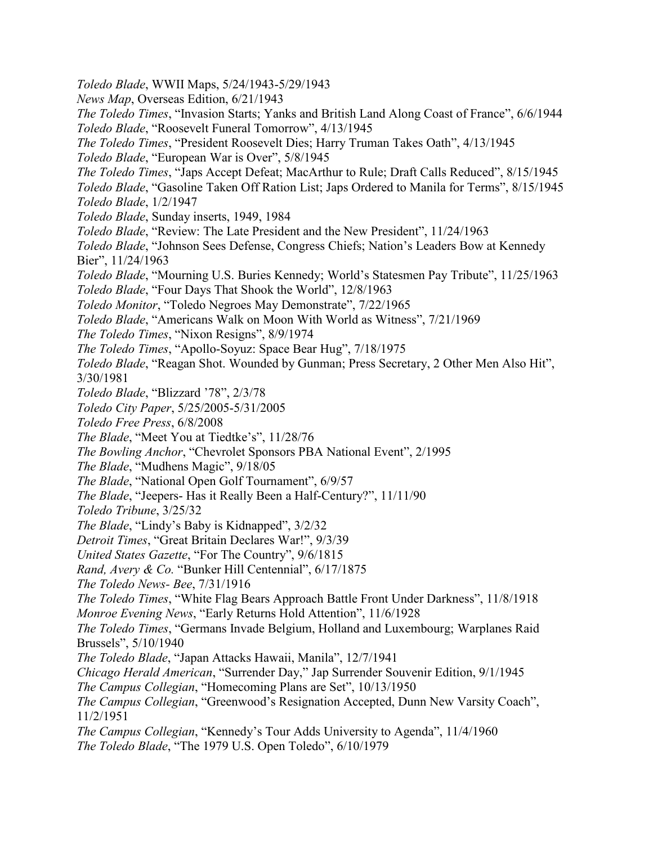*Toledo Blade*, WWII Maps, 5/24/1943-5/29/1943 *News Map*, Overseas Edition, 6/21/1943 *The Toledo Times*, "Invasion Starts; Yanks and British Land Along Coast of France", 6/6/1944 *Toledo Blade*, "Roosevelt Funeral Tomorrow", 4/13/1945 *The Toledo Times*, "President Roosevelt Dies; Harry Truman Takes Oath", 4/13/1945 *Toledo Blade*, "European War is Over", 5/8/1945 *The Toledo Times*, "Japs Accept Defeat; MacArthur to Rule; Draft Calls Reduced", 8/15/1945 *Toledo Blade*, "Gasoline Taken Off Ration List; Japs Ordered to Manila for Terms", 8/15/1945 *Toledo Blade*, 1/2/1947 *Toledo Blade*, Sunday inserts, 1949, 1984 *Toledo Blade*, "Review: The Late President and the New President", 11/24/1963 *Toledo Blade*, "Johnson Sees Defense, Congress Chiefs; Nation's Leaders Bow at Kennedy Bier", 11/24/1963 *Toledo Blade*, "Mourning U.S. Buries Kennedy; World's Statesmen Pay Tribute", 11/25/1963 *Toledo Blade*, "Four Days That Shook the World", 12/8/1963 *Toledo Monitor*, "Toledo Negroes May Demonstrate", 7/22/1965 *Toledo Blade*, "Americans Walk on Moon With World as Witness", 7/21/1969 *The Toledo Times*, "Nixon Resigns", 8/9/1974 *The Toledo Times*, "Apollo-Soyuz: Space Bear Hug", 7/18/1975 *Toledo Blade*, "Reagan Shot. Wounded by Gunman; Press Secretary, 2 Other Men Also Hit", 3/30/1981 *Toledo Blade*, "Blizzard '78", 2/3/78 *Toledo City Paper*, 5/25/2005-5/31/2005 *Toledo Free Press*, 6/8/2008 *The Blade*, "Meet You at Tiedtke's", 11/28/76 *The Bowling Anchor*, "Chevrolet Sponsors PBA National Event", 2/1995 *The Blade*, "Mudhens Magic", 9/18/05 *The Blade*, "National Open Golf Tournament", 6/9/57 *The Blade*, "Jeepers- Has it Really Been a Half-Century?", 11/11/90 *Toledo Tribune*, 3/25/32 *The Blade*, "Lindy's Baby is Kidnapped", 3/2/32 *Detroit Times*, "Great Britain Declares War!", 9/3/39 *United States Gazette*, "For The Country", 9/6/1815 *Rand, Avery & Co.* "Bunker Hill Centennial", 6/17/1875 *The Toledo News- Bee*, 7/31/1916 *The Toledo Times*, "White Flag Bears Approach Battle Front Under Darkness", 11/8/1918 *Monroe Evening News*, "Early Returns Hold Attention", 11/6/1928 *The Toledo Times*, "Germans Invade Belgium, Holland and Luxembourg; Warplanes Raid Brussels", 5/10/1940 *The Toledo Blade*, "Japan Attacks Hawaii, Manila", 12/7/1941 *Chicago Herald American*, "Surrender Day," Jap Surrender Souvenir Edition, 9/1/1945 *The Campus Collegian*, "Homecoming Plans are Set", 10/13/1950 *The Campus Collegian*, "Greenwood's Resignation Accepted, Dunn New Varsity Coach", 11/2/1951 *The Campus Collegian*, "Kennedy's Tour Adds University to Agenda", 11/4/1960 *The Toledo Blade*, "The 1979 U.S. Open Toledo", 6/10/1979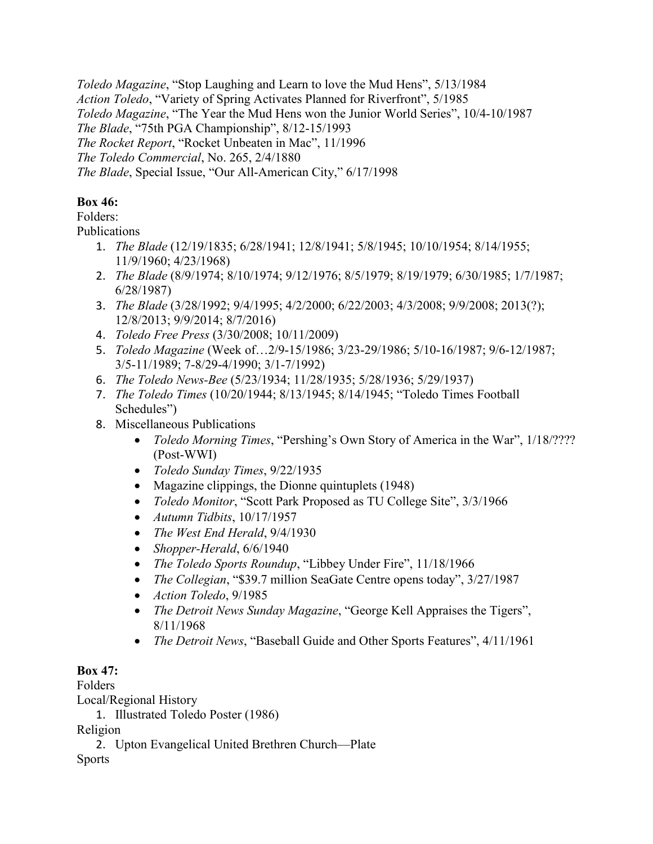*Toledo Magazine*, "Stop Laughing and Learn to love the Mud Hens", 5/13/1984 *Action Toledo*, "Variety of Spring Activates Planned for Riverfront", 5/1985 *Toledo Magazine*, "The Year the Mud Hens won the Junior World Series", 10/4-10/1987 *The Blade*, "75th PGA Championship", 8/12-15/1993 *The Rocket Report*, "Rocket Unbeaten in Mac", 11/1996 *The Toledo Commercial*, No. 265, 2/4/1880 *The Blade*, Special Issue, "Our All-American City," 6/17/1998

## **Box 46:**

Folders:

Publications

- 1. *The Blade* (12/19/1835; 6/28/1941; 12/8/1941; 5/8/1945; 10/10/1954; 8/14/1955; 11/9/1960; 4/23/1968)
- 2. *The Blade* (8/9/1974; 8/10/1974; 9/12/1976; 8/5/1979; 8/19/1979; 6/30/1985; 1/7/1987; 6/28/1987)
- 3. *The Blade* (3/28/1992; 9/4/1995; 4/2/2000; 6/22/2003; 4/3/2008; 9/9/2008; 2013(?); 12/8/2013; 9/9/2014; 8/7/2016)
- 4. *Toledo Free Press* (3/30/2008; 10/11/2009)
- 5. *Toledo Magazine* (Week of…2/9-15/1986; 3/23-29/1986; 5/10-16/1987; 9/6-12/1987; 3/5-11/1989; 7-8/29-4/1990; 3/1-7/1992)
- 6. *The Toledo News-Bee* (5/23/1934; 11/28/1935; 5/28/1936; 5/29/1937)
- 7. *The Toledo Times* (10/20/1944; 8/13/1945; 8/14/1945; "Toledo Times Football Schedules")
- 8. Miscellaneous Publications
	- *Toledo Morning Times*, "Pershing's Own Story of America in the War", 1/18/???? (Post-WWI)
	- *Toledo Sunday Times*, 9/22/1935
	- Magazine clippings, the Dionne quintuplets (1948)
	- *Toledo Monitor*, "Scott Park Proposed as TU College Site", 3/3/1966
	- *Autumn Tidbits*, 10/17/1957
	- *The West End Herald*, 9/4/1930
	- *Shopper-Herald*, 6/6/1940
	- *The Toledo Sports Roundup*, "Libbey Under Fire", 11/18/1966
	- *The Collegian*, "\$39.7 million SeaGate Centre opens today", 3/27/1987
	- *Action Toledo*, 9/1985
	- *The Detroit News Sunday Magazine*, "George Kell Appraises the Tigers", 8/11/1968
	- *The Detroit News*, "Baseball Guide and Other Sports Features", 4/11/1961

## **Box 47:**

Folders

Local/Regional History

1. Illustrated Toledo Poster (1986)

Religion

2. Upton Evangelical United Brethren Church—Plate Sports